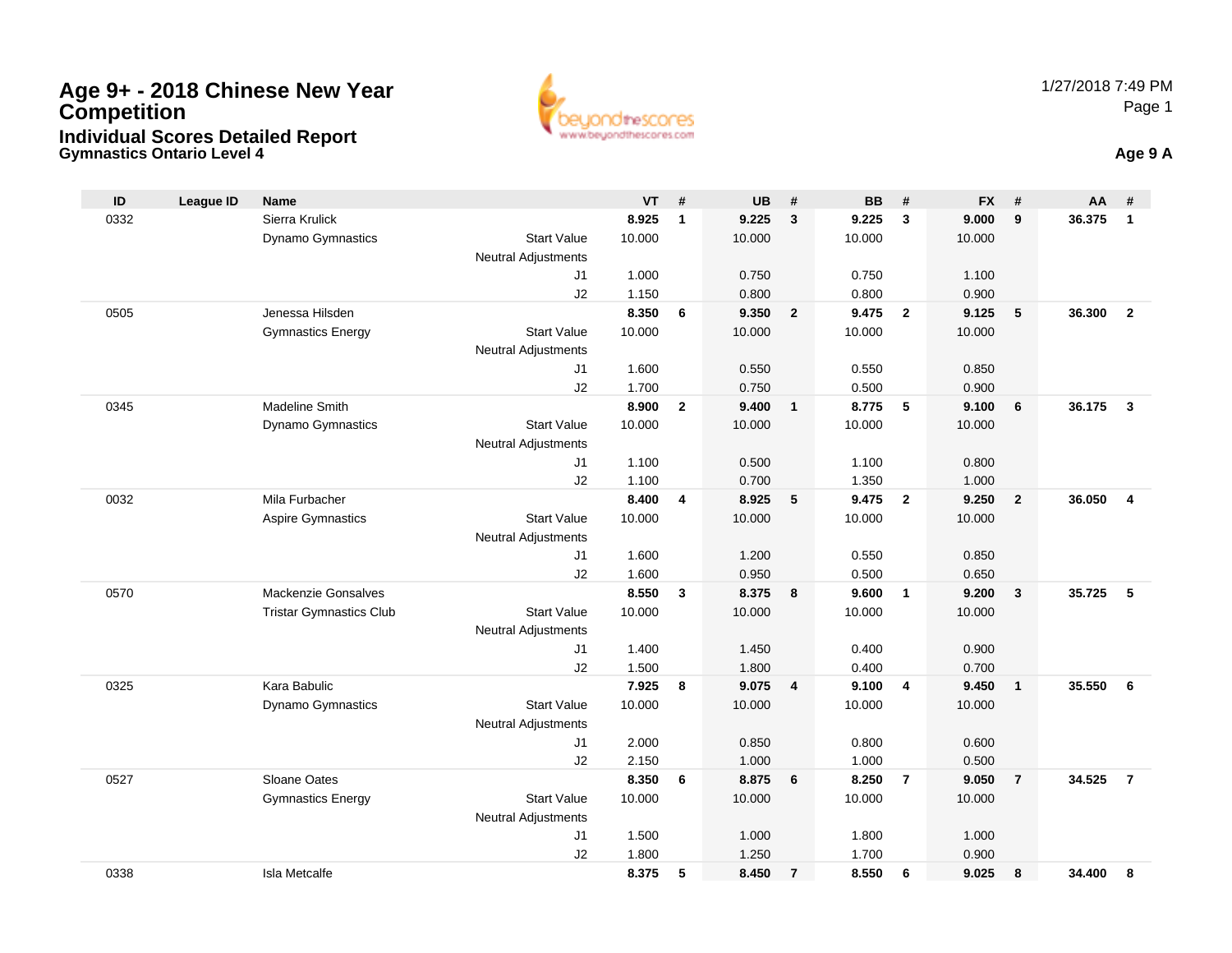

**Gymnastics Ontario Level 4 Age 9 A**

| ID   | <b>League ID</b> | <b>Name</b>                    |                            | VT     | #              | <b>UB</b> | #              | <b>BB</b> | #                       | <b>FX</b> | #              | AA     | #                       |
|------|------------------|--------------------------------|----------------------------|--------|----------------|-----------|----------------|-----------|-------------------------|-----------|----------------|--------|-------------------------|
| 0332 |                  | Sierra Krulick                 |                            | 8.925  | $\mathbf{1}$   | 9.225     | $\mathbf{3}$   | 9.225     | $\overline{\mathbf{3}}$ | 9.000     | 9              | 36.375 | $\mathbf{1}$            |
|      |                  | Dynamo Gymnastics              | <b>Start Value</b>         | 10.000 |                | 10.000    |                | 10.000    |                         | 10.000    |                |        |                         |
|      |                  |                                | <b>Neutral Adjustments</b> |        |                |           |                |           |                         |           |                |        |                         |
|      |                  |                                | J1                         | 1.000  |                | 0.750     |                | 0.750     |                         | 1.100     |                |        |                         |
|      |                  |                                | J2                         | 1.150  |                | 0.800     |                | 0.800     |                         | 0.900     |                |        |                         |
| 0505 |                  | Jenessa Hilsden                |                            | 8.350  | 6              | 9.350     | $\overline{2}$ | 9.475     | $\overline{\mathbf{2}}$ | 9.125     | 5              | 36.300 | $\overline{2}$          |
|      |                  | <b>Gymnastics Energy</b>       | <b>Start Value</b>         | 10.000 |                | 10.000    |                | 10.000    |                         | 10.000    |                |        |                         |
|      |                  |                                | <b>Neutral Adjustments</b> |        |                |           |                |           |                         |           |                |        |                         |
|      |                  |                                | J1                         | 1.600  |                | 0.550     |                | 0.550     |                         | 0.850     |                |        |                         |
|      |                  |                                | J2                         | 1.700  |                | 0.750     |                | 0.500     |                         | 0.900     |                |        |                         |
| 0345 |                  | <b>Madeline Smith</b>          |                            | 8.900  | $\overline{2}$ | 9.400     | $\mathbf{1}$   | 8.775     | $-5$                    | 9.100     | 6              | 36.175 | $\mathbf{3}$            |
|      |                  | Dynamo Gymnastics              | <b>Start Value</b>         | 10.000 |                | 10.000    |                | 10.000    |                         | 10.000    |                |        |                         |
|      |                  |                                | <b>Neutral Adjustments</b> |        |                |           |                |           |                         |           |                |        |                         |
|      |                  |                                | J1                         | 1.100  |                | 0.500     |                | 1.100     |                         | 0.800     |                |        |                         |
|      |                  |                                | J2                         | 1.100  |                | 0.700     |                | 1.350     |                         | 1.000     |                |        |                         |
| 0032 |                  | Mila Furbacher                 |                            | 8.400  | 4              | 8.925     | 5              | 9.475     | $\overline{2}$          | 9.250     | $\overline{2}$ | 36.050 | $\overline{\mathbf{4}}$ |
|      |                  | <b>Aspire Gymnastics</b>       | <b>Start Value</b>         | 10.000 |                | 10.000    |                | 10.000    |                         | 10.000    |                |        |                         |
|      |                  |                                | <b>Neutral Adjustments</b> |        |                |           |                |           |                         |           |                |        |                         |
|      |                  |                                | J1                         | 1.600  |                | 1.200     |                | 0.550     |                         | 0.850     |                |        |                         |
|      |                  |                                | J2                         | 1.600  |                | 0.950     |                | 0.500     |                         | 0.650     |                |        |                         |
| 0570 |                  | Mackenzie Gonsalves            |                            | 8.550  | 3              | 8.375     | 8              | 9.600     | $\overline{1}$          | 9.200     | $\overline{3}$ | 35.725 | 5                       |
|      |                  | <b>Tristar Gymnastics Club</b> | <b>Start Value</b>         | 10.000 |                | 10.000    |                | 10.000    |                         | 10.000    |                |        |                         |
|      |                  |                                | <b>Neutral Adjustments</b> |        |                |           |                |           |                         |           |                |        |                         |
|      |                  |                                | J1                         | 1.400  |                | 1.450     |                | 0.400     |                         | 0.900     |                |        |                         |
|      |                  |                                | J2                         | 1.500  |                | 1.800     |                | 0.400     |                         | 0.700     |                |        |                         |
| 0325 |                  | Kara Babulic                   |                            | 7.925  | 8              | 9.075     | $\overline{4}$ | 9.100     | $\overline{4}$          | 9.450     | $\mathbf{1}$   | 35.550 | 6                       |
|      |                  | Dynamo Gymnastics              | <b>Start Value</b>         | 10.000 |                | 10.000    |                | 10.000    |                         | 10.000    |                |        |                         |
|      |                  |                                | <b>Neutral Adjustments</b> |        |                |           |                |           |                         |           |                |        |                         |
|      |                  |                                | J1                         | 2.000  |                | 0.850     |                | 0.800     |                         | 0.600     |                |        |                         |
|      |                  |                                | J2                         | 2.150  |                | 1.000     |                | 1.000     |                         | 0.500     |                |        |                         |
| 0527 |                  | Sloane Oates                   |                            | 8.350  | 6              | 8.875     | 6              | 8.250     | $\overline{7}$          | 9.050     | $\overline{7}$ | 34.525 | $\overline{7}$          |
|      |                  | <b>Gymnastics Energy</b>       | <b>Start Value</b>         | 10.000 |                | 10.000    |                | 10.000    |                         | 10.000    |                |        |                         |
|      |                  |                                | <b>Neutral Adjustments</b> |        |                |           |                |           |                         |           |                |        |                         |
|      |                  |                                | J <sub>1</sub>             | 1.500  |                | 1.000     |                | 1.800     |                         | 1.000     |                |        |                         |
|      |                  |                                | J2                         | 1.800  |                | 1.250     |                | 1.700     |                         | 0.900     |                |        |                         |
| 0338 |                  | <b>Isla Metcalfe</b>           |                            | 8.375  | 5              | 8.450     | $\overline{7}$ | 8.550     | 6                       | 9.025     | 8              | 34.400 | 8                       |
|      |                  |                                |                            |        |                |           |                |           |                         |           |                |        |                         |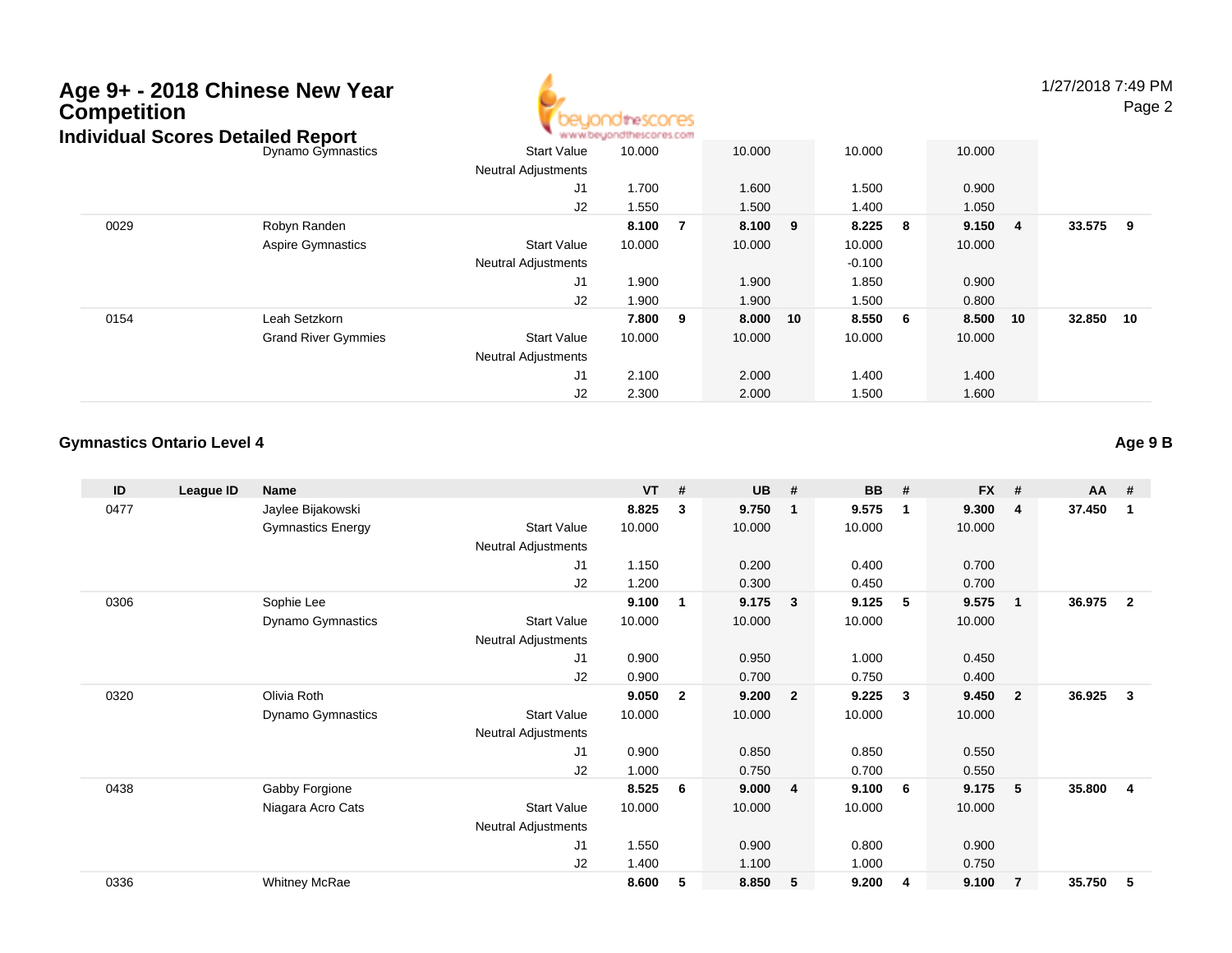

1/27/2018 7:49 PMPage 2

| idividual Scores Detailed Report |                            |                            | * www.beyondthescores.com |    |         |    |          |   |         |    |        |     |
|----------------------------------|----------------------------|----------------------------|---------------------------|----|---------|----|----------|---|---------|----|--------|-----|
|                                  | Dynamo Gymnastics          | <b>Start Value</b>         | 10.000                    |    | 10.000  |    | 10.000   |   | 10.000  |    |        |     |
|                                  |                            | <b>Neutral Adjustments</b> |                           |    |         |    |          |   |         |    |        |     |
|                                  |                            | J <sub>1</sub>             | 1.700                     |    | 1.600   |    | 1.500    |   | 0.900   |    |        |     |
|                                  |                            | J2                         | 1.550                     |    | 1.500   |    | 1.400    |   | 1.050   |    |        |     |
| 0029                             | Robyn Randen               |                            | 8.100                     | -7 | 8.100 9 |    | 8.225    | 8 | 9.150 4 |    | 33.575 | - 9 |
|                                  | <b>Aspire Gymnastics</b>   | <b>Start Value</b>         | 10.000                    |    | 10.000  |    | 10.000   |   | 10.000  |    |        |     |
|                                  |                            | <b>Neutral Adjustments</b> |                           |    |         |    | $-0.100$ |   |         |    |        |     |
|                                  |                            | J1                         | 1.900                     |    | 1.900   |    | 1.850    |   | 0.900   |    |        |     |
|                                  |                            | J2                         | 1.900                     |    | 1.900   |    | 1.500    |   | 0.800   |    |        |     |
| 0154                             | Leah Setzkorn              |                            | 7.800                     | 9  | 8.000   | 10 | 8.550 6  |   | 8.500   | 10 | 32.850 | 10  |
|                                  | <b>Grand River Gymmies</b> | <b>Start Value</b>         | 10.000                    |    | 10.000  |    | 10.000   |   | 10.000  |    |        |     |
|                                  |                            | <b>Neutral Adjustments</b> |                           |    |         |    |          |   |         |    |        |     |
|                                  |                            | J1                         | 2.100                     |    | 2.000   |    | 1.400    |   | 1.400   |    |        |     |
|                                  |                            | J2                         | 2.300                     |    | 2.000   |    | 1.500    |   | 1.600   |    |        |     |

#### **Gymnastics Ontario Level 4**

| ID   | League ID | Name                     |                            | <b>VT</b> | #              | <b>UB</b> | #              | <b>BB</b> | #           | <b>FX</b> | #                       | AA     | #              |
|------|-----------|--------------------------|----------------------------|-----------|----------------|-----------|----------------|-----------|-------------|-----------|-------------------------|--------|----------------|
| 0477 |           | Jaylee Bijakowski        |                            | 8.825     | 3              | 9.750     | $\mathbf{1}$   | 9.575     | $\mathbf 1$ | 9.300     | $\overline{4}$          | 37.450 | $\overline{1}$ |
|      |           | <b>Gymnastics Energy</b> | <b>Start Value</b>         | 10.000    |                | 10.000    |                | 10.000    |             | 10.000    |                         |        |                |
|      |           |                          | <b>Neutral Adjustments</b> |           |                |           |                |           |             |           |                         |        |                |
|      |           |                          | J1                         | 1.150     |                | 0.200     |                | 0.400     |             | 0.700     |                         |        |                |
|      |           |                          | J2                         | 1.200     |                | 0.300     |                | 0.450     |             | 0.700     |                         |        |                |
| 0306 |           | Sophie Lee               |                            | 9.100     | 1              | 9.175     | 3              | 9.125     | -5          | 9.575     | $\mathbf{1}$            | 36.975 | $\overline{2}$ |
|      |           | Dynamo Gymnastics        | <b>Start Value</b>         | 10.000    |                | 10.000    |                | 10.000    |             | 10.000    |                         |        |                |
|      |           |                          | <b>Neutral Adjustments</b> |           |                |           |                |           |             |           |                         |        |                |
|      |           |                          | J1                         | 0.900     |                | 0.950     |                | 1.000     |             | 0.450     |                         |        |                |
|      |           |                          | J2                         | 0.900     |                | 0.700     |                | 0.750     |             | 0.400     |                         |        |                |
| 0320 |           | Olivia Roth              |                            | 9.050     | $\overline{2}$ | 9.200     | $\overline{2}$ | 9.225     | 3           | 9.450     | $\overline{\mathbf{2}}$ | 36.925 | $\mathbf{3}$   |
|      |           | <b>Dynamo Gymnastics</b> | <b>Start Value</b>         | 10.000    |                | 10.000    |                | 10.000    |             | 10.000    |                         |        |                |
|      |           |                          | <b>Neutral Adjustments</b> |           |                |           |                |           |             |           |                         |        |                |
|      |           |                          | J1                         | 0.900     |                | 0.850     |                | 0.850     |             | 0.550     |                         |        |                |
|      |           |                          | J2                         | 1.000     |                | 0.750     |                | 0.700     |             | 0.550     |                         |        |                |
| 0438 |           | Gabby Forgione           |                            | 8.525     | 6              | 9.000     | $\overline{4}$ | 9.100     | 6           | 9.175     | 5                       | 35.800 | -4             |
|      |           | Niagara Acro Cats        | <b>Start Value</b>         | 10.000    |                | 10.000    |                | 10.000    |             | 10.000    |                         |        |                |
|      |           |                          | <b>Neutral Adjustments</b> |           |                |           |                |           |             |           |                         |        |                |
|      |           |                          | J <sub>1</sub>             | 1.550     |                | 0.900     |                | 0.800     |             | 0.900     |                         |        |                |
|      |           |                          | J2                         | 1.400     |                | 1.100     |                | 1.000     |             | 0.750     |                         |        |                |
| 0336 |           | <b>Whitney McRae</b>     |                            | 8.600     | 5              | 8.850     | 5              | 9.200     | -4          | 9.100     | $\overline{7}$          | 35.750 | 5              |

**Age 9 B**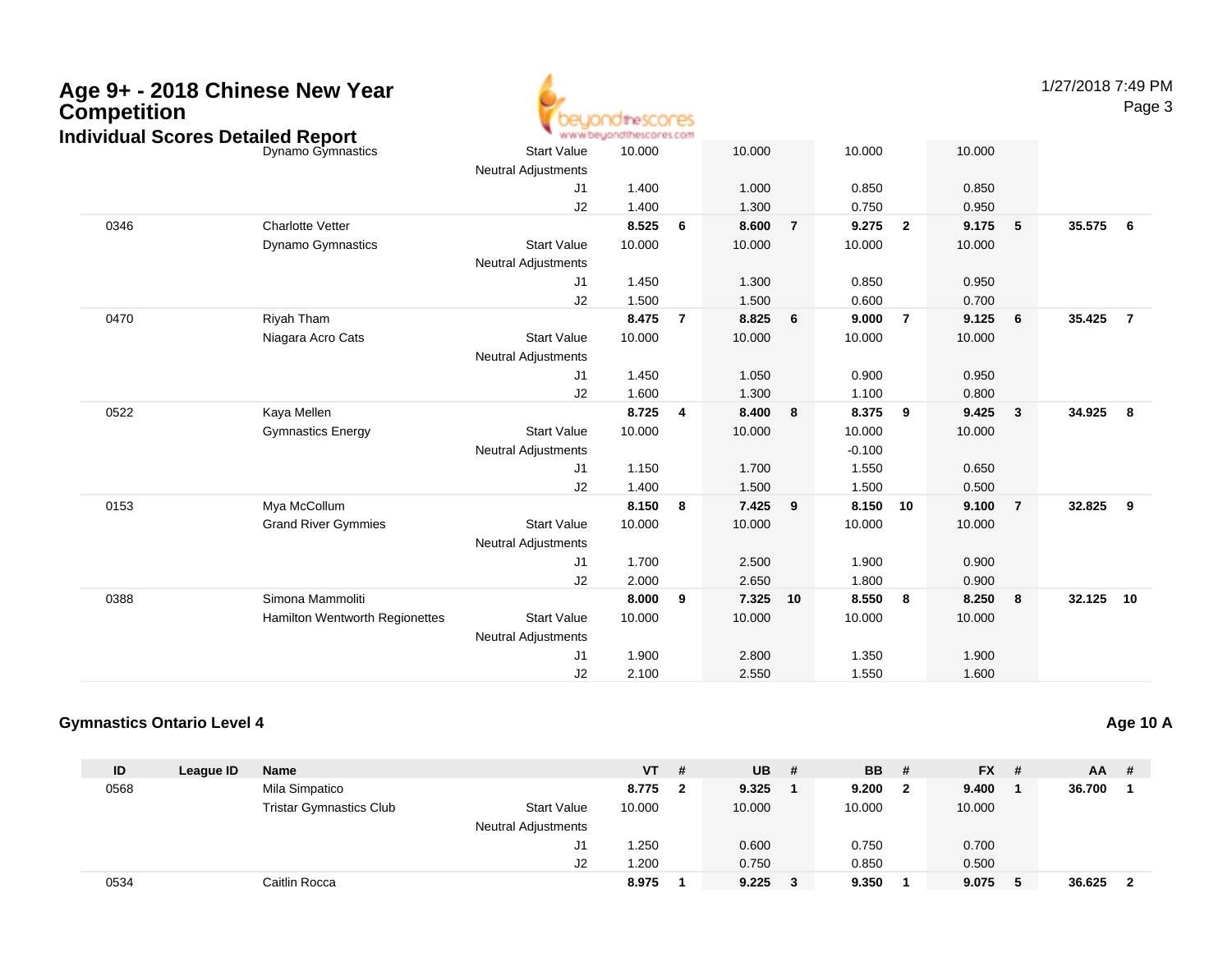| Age 9+ - 2018 Chinese New Year<br><b>Competition</b><br><b>Individual Scores Detailed Report</b> |                                |                                                  | idthescores<br>www.beyondthescores.com |                |        |                |          |                |        |                | 1/27/2018 7:49 PM | Page 3         |
|--------------------------------------------------------------------------------------------------|--------------------------------|--------------------------------------------------|----------------------------------------|----------------|--------|----------------|----------|----------------|--------|----------------|-------------------|----------------|
|                                                                                                  | Dynamo Gymnastics              | <b>Start Value</b>                               | 10.000                                 |                | 10.000 |                | 10.000   |                | 10.000 |                |                   |                |
|                                                                                                  |                                | <b>Neutral Adjustments</b>                       |                                        |                |        |                |          |                |        |                |                   |                |
|                                                                                                  |                                | J <sub>1</sub>                                   | 1.400                                  |                | 1.000  |                | 0.850    |                | 0.850  |                |                   |                |
|                                                                                                  |                                | J2                                               | 1.400                                  |                | 1.300  |                | 0.750    |                | 0.950  |                |                   |                |
| 0346                                                                                             | <b>Charlotte Vetter</b>        |                                                  | 8.525                                  | 6              | 8.600  | $\overline{7}$ | 9.275    | $\overline{2}$ | 9.175  | 5              | 35.575            | - 6            |
|                                                                                                  | <b>Dynamo Gymnastics</b>       | <b>Start Value</b>                               | 10.000                                 |                | 10.000 |                | 10.000   |                | 10.000 |                |                   |                |
|                                                                                                  |                                | <b>Neutral Adjustments</b>                       |                                        |                |        |                |          |                |        |                |                   |                |
|                                                                                                  |                                | J <sub>1</sub>                                   | 1.450                                  |                | 1.300  |                | 0.850    |                | 0.950  |                |                   |                |
|                                                                                                  |                                | J2                                               | 1.500                                  |                | 1.500  |                | 0.600    |                | 0.700  |                |                   |                |
| 0470                                                                                             | Riyah Tham                     |                                                  | 8.475                                  | $\overline{7}$ | 8.825  | 6              | 9.000    | $\overline{7}$ | 9.125  | 6              | 35.425            | $\overline{7}$ |
|                                                                                                  | Niagara Acro Cats              | <b>Start Value</b><br><b>Neutral Adjustments</b> | 10.000                                 |                | 10.000 |                | 10.000   |                | 10.000 |                |                   |                |
|                                                                                                  |                                | J1                                               | 1.450                                  |                | 1.050  |                | 0.900    |                | 0.950  |                |                   |                |
|                                                                                                  |                                | J2                                               | 1.600                                  |                | 1.300  |                | 1.100    |                | 0.800  |                |                   |                |
| 0522                                                                                             | Kaya Mellen                    |                                                  | 8.725                                  | $\overline{4}$ | 8.400  | 8              | 8.375    | 9              | 9.425  | $\mathbf{3}$   | 34.925            | -8             |
|                                                                                                  | <b>Gymnastics Energy</b>       | <b>Start Value</b>                               | 10.000                                 |                | 10.000 |                | 10.000   |                | 10.000 |                |                   |                |
|                                                                                                  |                                | <b>Neutral Adjustments</b>                       |                                        |                |        |                | $-0.100$ |                |        |                |                   |                |
|                                                                                                  |                                | J <sub>1</sub>                                   | 1.150                                  |                | 1.700  |                | 1.550    |                | 0.650  |                |                   |                |
|                                                                                                  |                                | J2                                               | 1.400                                  |                | 1.500  |                | 1.500    |                | 0.500  |                |                   |                |
| 0153                                                                                             | Mya McCollum                   |                                                  | 8.150                                  | 8              | 7.425  | 9              | 8.150    | 10             | 9.100  | $\overline{7}$ | 32.825            | - 9            |
|                                                                                                  | <b>Grand River Gymmies</b>     | <b>Start Value</b>                               | 10.000                                 |                | 10.000 |                | 10.000   |                | 10.000 |                |                   |                |
|                                                                                                  |                                | <b>Neutral Adjustments</b>                       |                                        |                |        |                |          |                |        |                |                   |                |
|                                                                                                  |                                | J <sub>1</sub>                                   | 1.700                                  |                | 2.500  |                | 1.900    |                | 0.900  |                |                   |                |
|                                                                                                  |                                | J2                                               | 2.000                                  |                | 2.650  |                | 1.800    |                | 0.900  |                |                   |                |
| 0388                                                                                             | Simona Mammoliti               |                                                  | 8.000                                  | 9              | 7.325  | 10             | 8.550    | 8              | 8.250  | 8              | 32.125 10         |                |
|                                                                                                  | Hamilton Wentworth Regionettes | <b>Start Value</b>                               | 10.000                                 |                | 10.000 |                | 10.000   |                | 10.000 |                |                   |                |
|                                                                                                  |                                | <b>Neutral Adjustments</b>                       |                                        |                |        |                |          |                |        |                |                   |                |
|                                                                                                  |                                | J1                                               | 1.900                                  |                | 2.800  |                | 1.350    |                | 1.900  |                |                   |                |
|                                                                                                  |                                | J2                                               | 2.100                                  |                | 2.550  |                | 1.550    |                | 1.600  |                |                   |                |

#### **Gymnastics Ontario Level 4Age 10 A**

| ID   | League ID | <b>Name</b>                    |                            | <b>VT</b> | -# | UB.    | # | <b>BB</b> | - #          | $FX$ # | $AA$ # |                         |
|------|-----------|--------------------------------|----------------------------|-----------|----|--------|---|-----------|--------------|--------|--------|-------------------------|
| 0568 |           | Mila Simpatico                 |                            | 8.775     |    | 9.325  |   | 9.200     | $\mathbf{2}$ | 9.400  | 36.700 |                         |
|      |           | <b>Tristar Gymnastics Club</b> | <b>Start Value</b>         | 10.000    |    | 10.000 |   | 10.000    |              | 10.000 |        |                         |
|      |           |                                | <b>Neutral Adjustments</b> |           |    |        |   |           |              |        |        |                         |
|      |           |                                | J1                         | .250      |    | 0.600  |   | 0.750     |              | 0.700  |        |                         |
|      |           |                                | J <sub>2</sub>             | .200      |    | 0.750  |   | 0.850     |              | 0.500  |        |                         |
| 0534 |           | Caitlin Rocca                  |                            | 8.975     |    | 9.225  | 3 | 9.350     |              | 9.075  | 36.625 | $\overline{\mathbf{2}}$ |

#### Page 3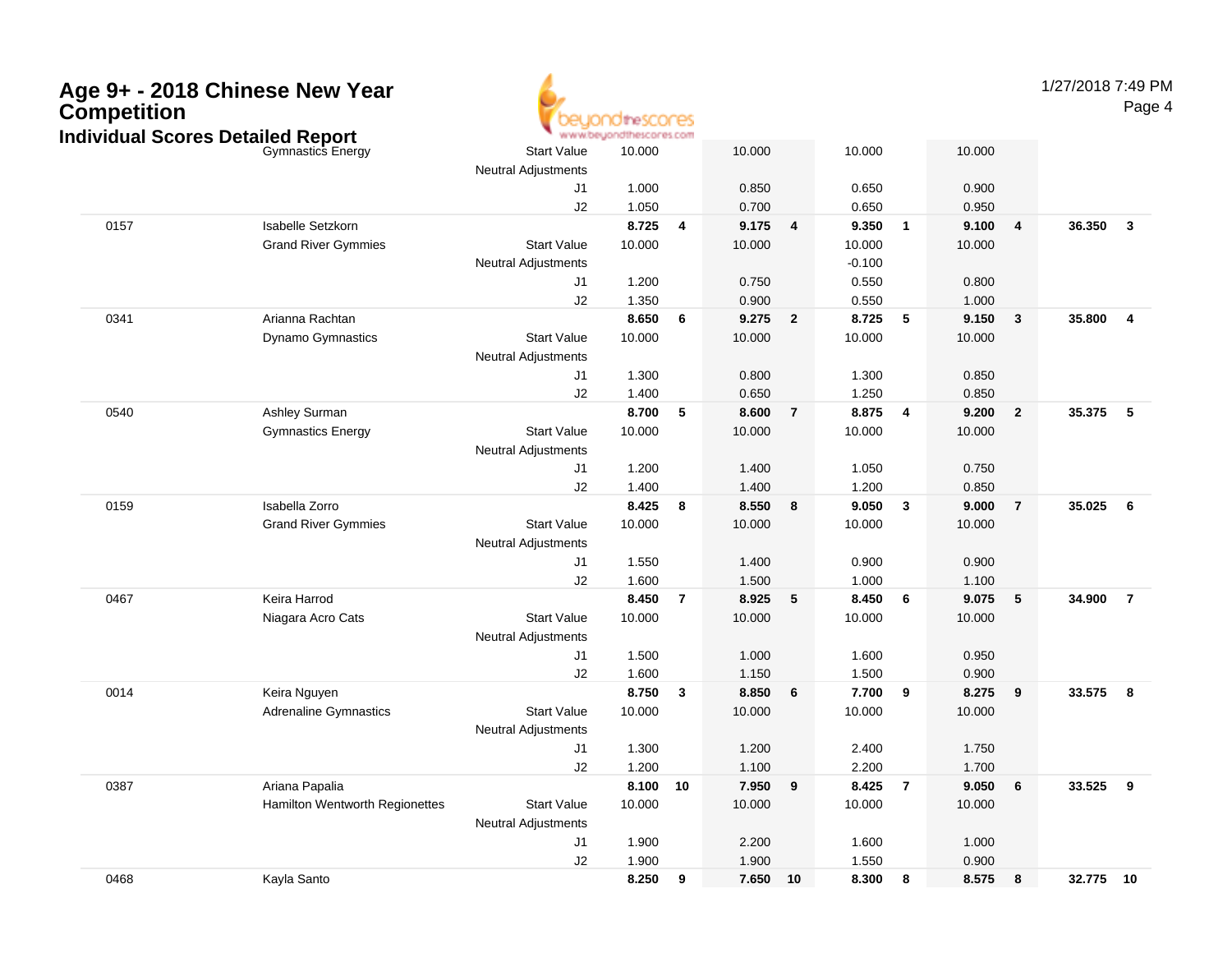| Competition | Age 9+ - 2018 Chinese New Year<br><b>Individual Scores Detailed Report</b> |                            | <b>idirescores</b><br>www.beyondthescores.com |                          |          |                |          |                         |         |                | 1/27/2018 7:49 PM | Page 4                  |
|-------------|----------------------------------------------------------------------------|----------------------------|-----------------------------------------------|--------------------------|----------|----------------|----------|-------------------------|---------|----------------|-------------------|-------------------------|
|             | Gymnastics Energy                                                          | <b>Start Value</b>         | 10.000                                        |                          | 10.000   |                | 10.000   |                         | 10.000  |                |                   |                         |
|             |                                                                            | <b>Neutral Adjustments</b> |                                               |                          |          |                |          |                         |         |                |                   |                         |
|             |                                                                            | J <sub>1</sub>             | 1.000                                         |                          | 0.850    |                | 0.650    |                         | 0.900   |                |                   |                         |
|             |                                                                            | J2                         | 1.050                                         |                          | 0.700    |                | 0.650    |                         | 0.950   |                |                   |                         |
| 0157        | Isabelle Setzkorn                                                          |                            | 8.725                                         | $\overline{\mathbf{4}}$  | 9.175    | 4              | 9.350    | $\overline{\mathbf{1}}$ | 9.100   | 4              | 36.350            | $\overline{\mathbf{3}}$ |
|             | <b>Grand River Gymmies</b>                                                 | <b>Start Value</b>         | 10.000                                        |                          | 10.000   |                | 10.000   |                         | 10.000  |                |                   |                         |
|             |                                                                            | <b>Neutral Adjustments</b> |                                               |                          |          |                | $-0.100$ |                         |         |                |                   |                         |
|             |                                                                            | J1                         | 1.200                                         |                          | 0.750    |                | 0.550    |                         | 0.800   |                |                   |                         |
|             |                                                                            | J2                         | 1.350                                         |                          | 0.900    |                | 0.550    |                         | 1.000   |                |                   |                         |
| 0341        | Arianna Rachtan                                                            |                            | 8.650                                         | $6\phantom{1}6$          | 9.275    | $\overline{2}$ | 8.725    | - 5                     | 9.150   | $\mathbf{3}$   | 35.800            | $\overline{\mathbf{4}}$ |
|             | Dynamo Gymnastics                                                          | <b>Start Value</b>         | 10.000                                        |                          | 10.000   |                | 10.000   |                         | 10.000  |                |                   |                         |
|             |                                                                            | <b>Neutral Adjustments</b> |                                               |                          |          |                |          |                         |         |                |                   |                         |
|             |                                                                            | J1                         | 1.300                                         |                          | 0.800    |                | 1.300    |                         | 0.850   |                |                   |                         |
|             |                                                                            | J2                         | 1.400                                         |                          | 0.650    |                | 1.250    |                         | 0.850   |                |                   |                         |
| 0540        | Ashley Surman                                                              |                            | 8.700                                         | $\overline{\phantom{0}}$ | 8.600    | $\overline{7}$ | 8.875    | $\overline{\mathbf{4}}$ | 9.200   | $\overline{2}$ | 35.375            | 5                       |
|             | <b>Gymnastics Energy</b>                                                   | <b>Start Value</b>         | 10.000                                        |                          | 10.000   |                | 10.000   |                         | 10.000  |                |                   |                         |
|             |                                                                            | <b>Neutral Adjustments</b> |                                               |                          |          |                |          |                         |         |                |                   |                         |
|             |                                                                            | J1                         | 1.200                                         |                          | 1.400    |                | 1.050    |                         | 0.750   |                |                   |                         |
|             |                                                                            | J2                         | 1.400                                         |                          | 1.400    |                | 1.200    |                         | 0.850   |                |                   |                         |
| 0159        | Isabella Zorro                                                             |                            | 8.425                                         | $\overline{\phantom{a}}$ | 8.550    | 8              | 9.050    | $\mathbf{3}$            | 9.000   | $\overline{7}$ | 35.025            | 6                       |
|             | <b>Grand River Gymmies</b>                                                 | <b>Start Value</b>         | 10.000                                        |                          | 10.000   |                | 10.000   |                         | 10.000  |                |                   |                         |
|             |                                                                            | <b>Neutral Adjustments</b> |                                               |                          |          |                |          |                         |         |                |                   |                         |
|             |                                                                            | J1                         | 1.550                                         |                          | 1.400    |                | 0.900    |                         | 0.900   |                |                   |                         |
|             |                                                                            | J2                         | 1.600                                         |                          | 1.500    |                | 1.000    |                         | 1.100   |                |                   |                         |
| 0467        | Keira Harrod                                                               |                            | 8.450                                         | $\overline{7}$           | 8.925    | 5              | 8.450    | 6                       | 9.075   | 5              | 34.900            | $\overline{7}$          |
|             | Niagara Acro Cats                                                          | <b>Start Value</b>         | 10.000                                        |                          | 10.000   |                | 10.000   |                         | 10.000  |                |                   |                         |
|             |                                                                            | <b>Neutral Adjustments</b> |                                               |                          | 1.000    |                | 1.600    |                         | 0.950   |                |                   |                         |
|             |                                                                            | J1<br>J2                   | 1.500<br>1.600                                |                          | 1.150    |                | 1.500    |                         | 0.900   |                |                   |                         |
| 0014        | Keira Nguyen                                                               |                            | 8.750                                         | $\overline{\mathbf{3}}$  | 8.850    | 6              | 7.700    | 9                       | 8.275   | 9              | 33.575            | $\overline{\mathbf{8}}$ |
|             | <b>Adrenaline Gymnastics</b>                                               | <b>Start Value</b>         | 10.000                                        |                          | 10.000   |                | 10.000   |                         | 10.000  |                |                   |                         |
|             |                                                                            | <b>Neutral Adjustments</b> |                                               |                          |          |                |          |                         |         |                |                   |                         |
|             |                                                                            | J <sub>1</sub>             | 1.300                                         |                          | 1.200    |                | 2.400    |                         | 1.750   |                |                   |                         |
|             |                                                                            | $\sf J2$                   | 1.200                                         |                          | 1.100    |                | 2.200    |                         | 1.700   |                |                   |                         |
| 0387        | Ariana Papalia                                                             |                            | 8.100 10                                      |                          | 7.950 9  |                | 8.425 7  |                         | 9.050   | 6              | 33.525 9          |                         |
|             | Hamilton Wentworth Regionettes                                             | <b>Start Value</b>         | 10.000                                        |                          | 10.000   |                | 10.000   |                         | 10.000  |                |                   |                         |
|             |                                                                            | <b>Neutral Adjustments</b> |                                               |                          |          |                |          |                         |         |                |                   |                         |
|             |                                                                            | J1                         | 1.900                                         |                          | 2.200    |                | 1.600    |                         | 1.000   |                |                   |                         |
|             |                                                                            | $\sf J2$                   | 1.900                                         |                          | 1.900    |                | 1.550    |                         | 0.900   |                |                   |                         |
| 0468        | Kayla Santo                                                                |                            | 8.250 9                                       |                          | 7.650 10 |                | 8.300 8  |                         | 8.575 8 |                | 32.775 10         |                         |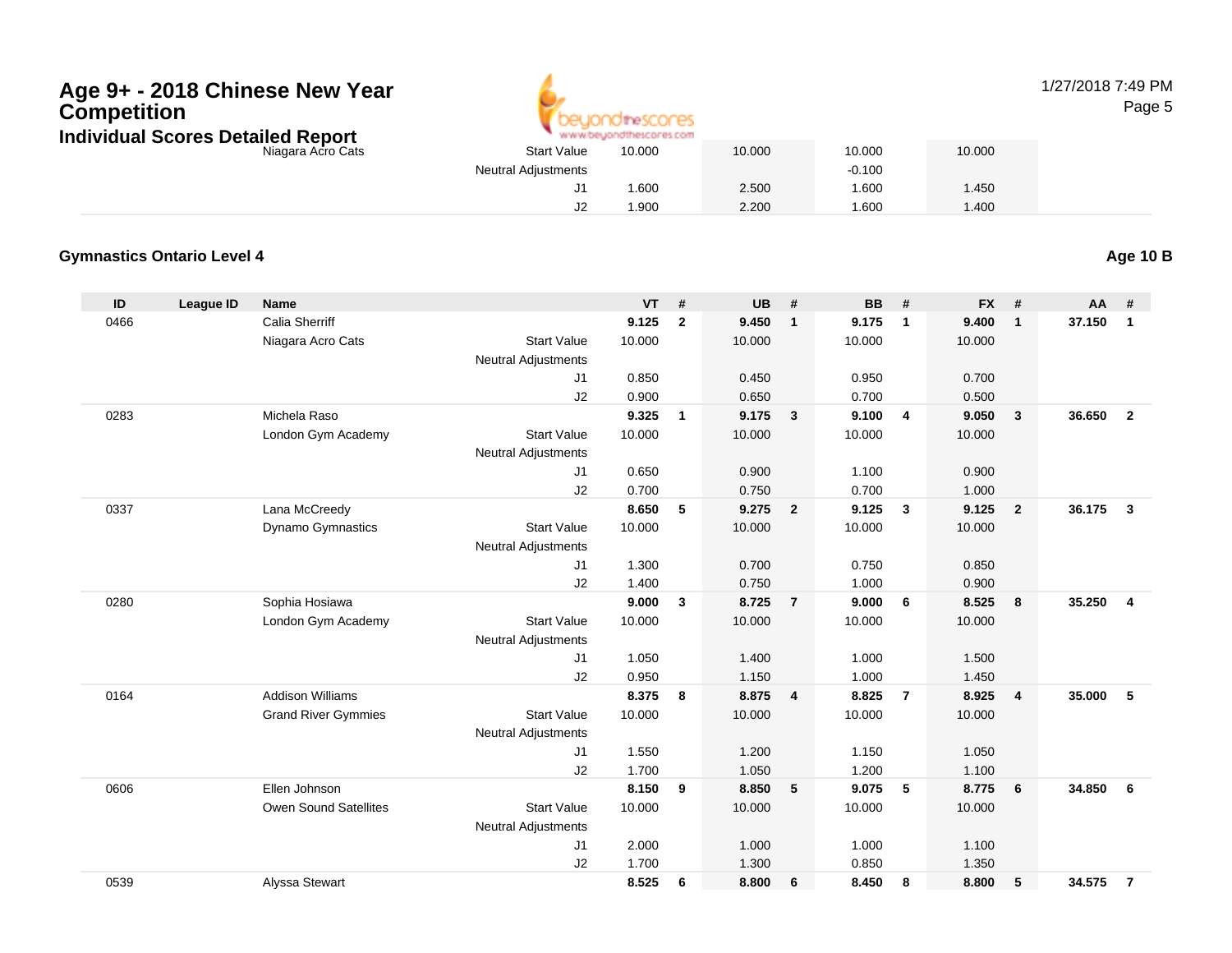

#### 1/27/2018 7:49 PMPage 5

| Scores Detailed Report |                            | www.beuondthescores.com |        |        |        |
|------------------------|----------------------------|-------------------------|--------|--------|--------|
| Niagara Acro Cats      | <b>Start Value</b>         | 10.000                  | 10.000 | 10.000 | 10.000 |
|                        | <b>Neutral Adjustments</b> |                         |        | -0.100 |        |
|                        | J1                         | .600                    | 2.500  | .600   | 1.450  |
|                        | J2                         | .900                    | 2.200  | .600   | .400   |

#### **Gymnastics Ontario Level 4**

**Age 10 B**

| ID   | League ID | <b>Name</b>                  |                            | <b>VT</b> | #              | <b>UB</b> | #                       | <b>BB</b> | #              | <b>FX</b> | #              | AA     | #                       |
|------|-----------|------------------------------|----------------------------|-----------|----------------|-----------|-------------------------|-----------|----------------|-----------|----------------|--------|-------------------------|
| 0466 |           | <b>Calia Sherriff</b>        |                            | 9.125     | $\overline{2}$ | 9.450     | $\mathbf{1}$            | 9.175     | $\overline{1}$ | 9.400     | $\mathbf{1}$   | 37.150 | $\mathbf{1}$            |
|      |           | Niagara Acro Cats            | <b>Start Value</b>         | 10.000    |                | 10.000    |                         | 10.000    |                | 10.000    |                |        |                         |
|      |           |                              | Neutral Adjustments        |           |                |           |                         |           |                |           |                |        |                         |
|      |           |                              | J1                         | 0.850     |                | 0.450     |                         | 0.950     |                | 0.700     |                |        |                         |
|      |           |                              | J2                         | 0.900     |                | 0.650     |                         | 0.700     |                | 0.500     |                |        |                         |
| 0283 |           | Michela Raso                 |                            | 9.325     | $\mathbf{1}$   | 9.175     | $\overline{\mathbf{3}}$ | 9.100     | $\overline{4}$ | 9.050     | $\overline{3}$ | 36.650 | $\overline{2}$          |
|      |           | London Gym Academy           | <b>Start Value</b>         | 10.000    |                | 10.000    |                         | 10.000    |                | 10.000    |                |        |                         |
|      |           |                              | <b>Neutral Adjustments</b> |           |                |           |                         |           |                |           |                |        |                         |
|      |           |                              | J1                         | 0.650     |                | 0.900     |                         | 1.100     |                | 0.900     |                |        |                         |
|      |           |                              | J2                         | 0.700     |                | 0.750     |                         | 0.700     |                | 1.000     |                |        |                         |
| 0337 |           | Lana McCreedy                |                            | 8.650     | 5              | 9.275     | $\overline{2}$          | 9.125     | $\mathbf{3}$   | 9.125     | $\overline{2}$ | 36.175 | $\mathbf{3}$            |
|      |           | <b>Dynamo Gymnastics</b>     | <b>Start Value</b>         | 10.000    |                | 10.000    |                         | 10.000    |                | 10.000    |                |        |                         |
|      |           |                              | <b>Neutral Adjustments</b> |           |                |           |                         |           |                |           |                |        |                         |
|      |           |                              | J1                         | 1.300     |                | 0.700     |                         | 0.750     |                | 0.850     |                |        |                         |
|      |           |                              | J2                         | 1.400     |                | 0.750     |                         | 1.000     |                | 0.900     |                |        |                         |
| 0280 |           | Sophia Hosiawa               |                            | 9.000     | $\mathbf{3}$   | 8.725     | $\overline{7}$          | 9.000     | - 6            | 8.525     | 8              | 35.250 | $\overline{\mathbf{4}}$ |
|      |           | London Gym Academy           | <b>Start Value</b>         | 10.000    |                | 10.000    |                         | 10.000    |                | 10.000    |                |        |                         |
|      |           |                              | <b>Neutral Adjustments</b> |           |                |           |                         |           |                |           |                |        |                         |
|      |           |                              | J <sub>1</sub>             | 1.050     |                | 1.400     |                         | 1.000     |                | 1.500     |                |        |                         |
|      |           |                              | J2                         | 0.950     |                | 1.150     |                         | 1.000     |                | 1.450     |                |        |                         |
| 0164 |           | <b>Addison Williams</b>      |                            | 8.375     | 8              | 8.875     | $\overline{4}$          | 8.825     | $\overline{7}$ | 8.925     | $\overline{4}$ | 35.000 | 5                       |
|      |           | <b>Grand River Gymmies</b>   | <b>Start Value</b>         | 10.000    |                | 10.000    |                         | 10.000    |                | 10.000    |                |        |                         |
|      |           |                              | <b>Neutral Adjustments</b> |           |                |           |                         |           |                |           |                |        |                         |
|      |           |                              | J1                         | 1.550     |                | 1.200     |                         | 1.150     |                | 1.050     |                |        |                         |
|      |           |                              | J2                         | 1.700     |                | 1.050     |                         | 1.200     |                | 1.100     |                |        |                         |
| 0606 |           | Ellen Johnson                |                            | 8.150     | 9              | 8.850     | 5                       | 9.075     | 5              | 8.775     | 6              | 34.850 | 6                       |
|      |           | <b>Owen Sound Satellites</b> | <b>Start Value</b>         | 10.000    |                | 10.000    |                         | 10.000    |                | 10.000    |                |        |                         |
|      |           |                              | <b>Neutral Adjustments</b> |           |                |           |                         |           |                |           |                |        |                         |
|      |           |                              | J1                         | 2.000     |                | 1.000     |                         | 1.000     |                | 1.100     |                |        |                         |
|      |           |                              | J2                         | 1.700     |                | 1.300     |                         | 0.850     |                | 1.350     |                |        |                         |
| 0539 |           | Alyssa Stewart               |                            | 8.525     | 6              | 8.800     | 6                       | 8.450     | 8              | 8.800     | 5              | 34.575 | $\overline{7}$          |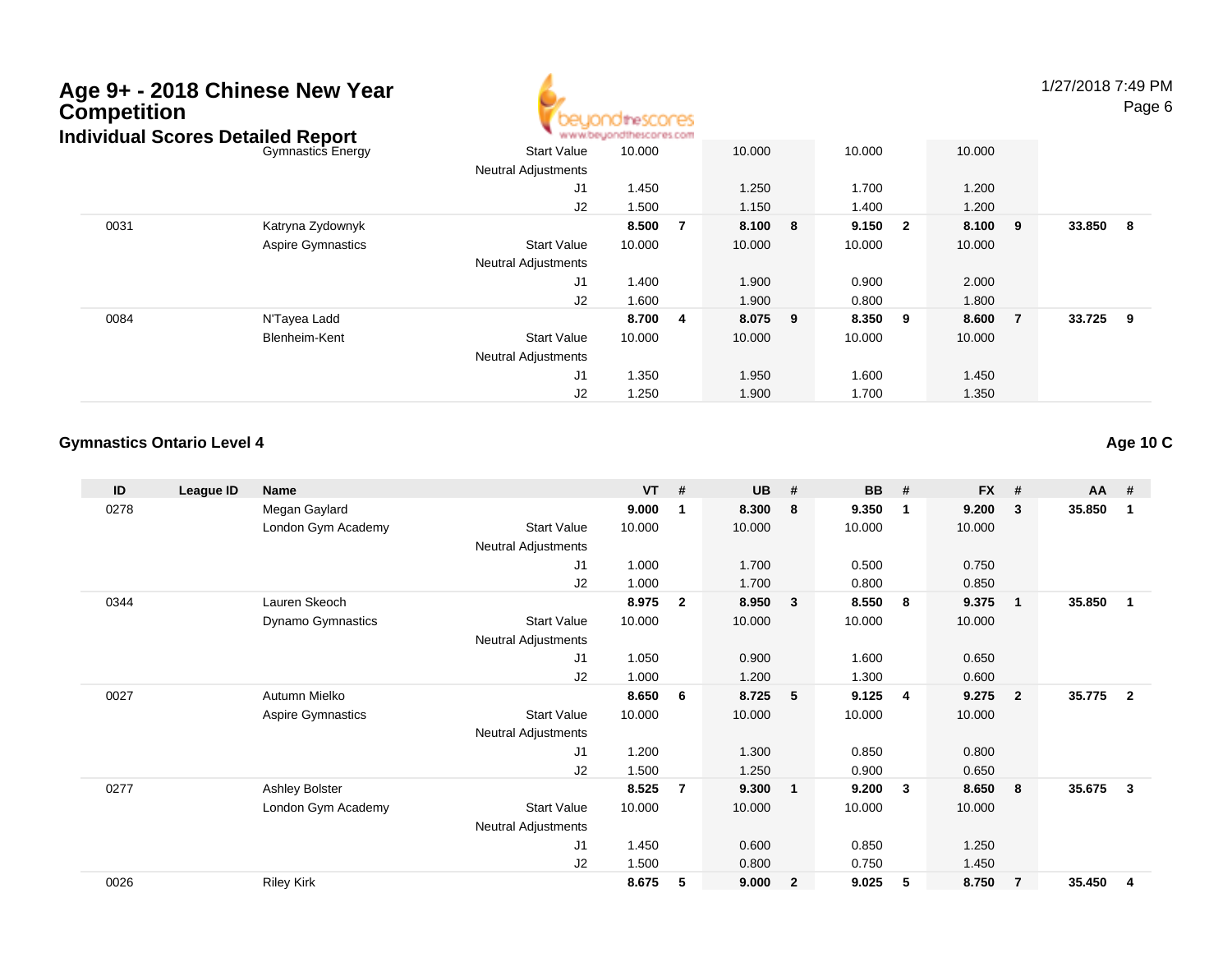

1/27/2018 7:49 PMPage 6

|      | ìdividual Scores Detailed Report |                            | www.beyondthescores.com |   |         |         |         |                |        |     |
|------|----------------------------------|----------------------------|-------------------------|---|---------|---------|---------|----------------|--------|-----|
|      | <b>Gymnastics Energy</b>         | <b>Start Value</b>         | 10.000                  |   | 10.000  | 10.000  | 10.000  |                |        |     |
|      |                                  | <b>Neutral Adjustments</b> |                         |   |         |         |         |                |        |     |
|      |                                  | J <sub>1</sub>             | 1.450                   |   | 1.250   | 1.700   | 1.200   |                |        |     |
|      |                                  | J2                         | 1.500                   |   | 1.150   | 1.400   | 1.200   |                |        |     |
| 0031 | Katryna Zydownyk                 |                            | 8.500                   | 7 | 8.100 8 | 9.150 2 | 8.100 9 |                | 33.850 | - 8 |
|      | <b>Aspire Gymnastics</b>         | <b>Start Value</b>         | 10.000                  |   | 10.000  | 10.000  | 10.000  |                |        |     |
|      |                                  | <b>Neutral Adjustments</b> |                         |   |         |         |         |                |        |     |
|      |                                  | J <sub>1</sub>             | 1.400                   |   | 1.900   | 0.900   | 2.000   |                |        |     |
|      |                                  | J2                         | 1.600                   |   | 1.900   | 0.800   | 1.800   |                |        |     |
| 0084 | N'Tayea Ladd                     |                            | 8.700                   | 4 | 8.075 9 | 8.350 9 | 8.600   | $\overline{7}$ | 33.725 | - 9 |
|      | Blenheim-Kent                    | <b>Start Value</b>         | 10.000                  |   | 10.000  | 10.000  | 10.000  |                |        |     |
|      |                                  | <b>Neutral Adjustments</b> |                         |   |         |         |         |                |        |     |
|      |                                  | J <sub>1</sub>             | 1.350                   |   | 1.950   | 1.600   | 1.450   |                |        |     |
|      |                                  | J2                         | 1.250                   |   | 1.900   | 1.700   | 1.350   |                |        |     |

#### **Gymnastics Ontario Level 4**

| ID   | League ID | <b>Name</b>              |                            | <b>VT</b> | #              | <b>UB</b> | #                       | <b>BB</b> | #           | <b>FX</b> | #              | AA     | #                       |
|------|-----------|--------------------------|----------------------------|-----------|----------------|-----------|-------------------------|-----------|-------------|-----------|----------------|--------|-------------------------|
| 0278 |           | Megan Gaylard            |                            | 9.000     | -1             | 8.300     | 8                       | 9.350     | $\mathbf 1$ | 9.200     | 3              | 35.850 | $\mathbf{1}$            |
|      |           | London Gym Academy       | <b>Start Value</b>         | 10.000    |                | 10.000    |                         | 10.000    |             | 10.000    |                |        |                         |
|      |           |                          | <b>Neutral Adjustments</b> |           |                |           |                         |           |             |           |                |        |                         |
|      |           |                          | J1                         | 1.000     |                | 1.700     |                         | 0.500     |             | 0.750     |                |        |                         |
|      |           |                          | J2                         | 1.000     |                | 1.700     |                         | 0.800     |             | 0.850     |                |        |                         |
| 0344 |           | Lauren Skeoch            |                            | 8.975     | $\overline{2}$ | 8.950     | $\overline{\mathbf{3}}$ | 8.550     | - 8         | 9.375     | $\mathbf{1}$   | 35.850 | $\overline{1}$          |
|      |           | Dynamo Gymnastics        | <b>Start Value</b>         | 10.000    |                | 10.000    |                         | 10.000    |             | 10.000    |                |        |                         |
|      |           |                          | <b>Neutral Adjustments</b> |           |                |           |                         |           |             |           |                |        |                         |
|      |           |                          | J <sub>1</sub>             | 1.050     |                | 0.900     |                         | 1.600     |             | 0.650     |                |        |                         |
|      |           |                          | J <sub>2</sub>             | 1.000     |                | 1.200     |                         | 1.300     |             | 0.600     |                |        |                         |
| 0027 |           | Autumn Mielko            |                            | 8.650     | 6              | 8.725     | 5                       | 9.125     | -4          | 9.275     | $\overline{2}$ | 35.775 | $\overline{\mathbf{2}}$ |
|      |           | <b>Aspire Gymnastics</b> | <b>Start Value</b>         | 10.000    |                | 10.000    |                         | 10.000    |             | 10.000    |                |        |                         |
|      |           |                          | <b>Neutral Adjustments</b> |           |                |           |                         |           |             |           |                |        |                         |
|      |           |                          | J <sub>1</sub>             | 1.200     |                | 1.300     |                         | 0.850     |             | 0.800     |                |        |                         |
|      |           |                          | J2                         | 1.500     |                | 1.250     |                         | 0.900     |             | 0.650     |                |        |                         |
| 0277 |           | Ashley Bolster           |                            | 8.525     | $\overline{7}$ | 9.300     | $\mathbf{1}$            | 9.200     | 3           | 8.650     | -8             | 35.675 | $\mathbf{3}$            |
|      |           | London Gym Academy       | <b>Start Value</b>         | 10.000    |                | 10.000    |                         | 10.000    |             | 10.000    |                |        |                         |
|      |           |                          | <b>Neutral Adjustments</b> |           |                |           |                         |           |             |           |                |        |                         |
|      |           |                          | J1                         | 1.450     |                | 0.600     |                         | 0.850     |             | 1.250     |                |        |                         |
|      |           |                          | J <sub>2</sub>             | 1.500     |                | 0.800     |                         | 0.750     |             | 1.450     |                |        |                         |
| 0026 |           | <b>Riley Kirk</b>        |                            | 8.675     | 5              | 9.000     | $\overline{2}$          | 9.025     | 5           | 8.750     | $\overline{7}$ | 35.450 | -4                      |

**Age 10 C**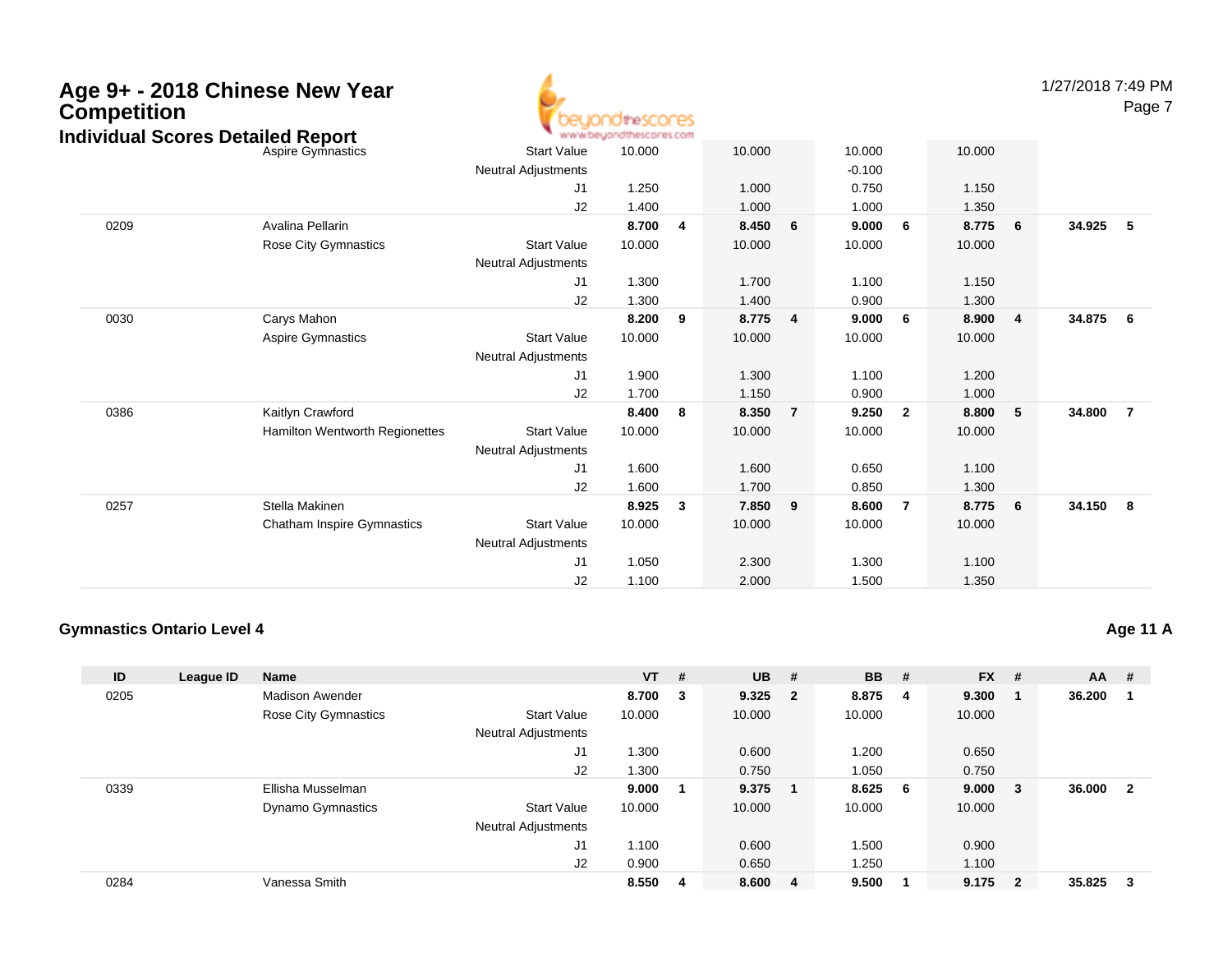| <b>Competition</b><br><b>Individual Scores Detailed Report</b> | Age 9+ - 2018 Chinese New Year    |                            | <b>idirescores</b><br>www.beyondthescores.com |                         |        |                |          |                |                                  | 1/27/2018 7:49 PM<br>Page 7 |
|----------------------------------------------------------------|-----------------------------------|----------------------------|-----------------------------------------------|-------------------------|--------|----------------|----------|----------------|----------------------------------|-----------------------------|
|                                                                | Aspire Gymnastics                 | <b>Start Value</b>         | 10.000                                        |                         | 10.000 |                | 10.000   |                | 10.000                           |                             |
|                                                                |                                   | <b>Neutral Adjustments</b> |                                               |                         |        |                | $-0.100$ |                |                                  |                             |
|                                                                |                                   | J1                         | 1.250                                         |                         | 1.000  |                | 0.750    |                | 1.150                            |                             |
|                                                                |                                   | J2                         | 1.400                                         |                         | 1.000  |                | 1.000    |                | 1.350                            |                             |
| 0209                                                           | Avalina Pellarin                  |                            | 8.700                                         | $\overline{\mathbf{4}}$ | 8.450  | 6              | 9.000    | 6              | 8.775<br>6                       | 34.925<br>5                 |
|                                                                | <b>Rose City Gymnastics</b>       | <b>Start Value</b>         | 10.000                                        |                         | 10.000 |                | 10.000   |                | 10.000                           |                             |
|                                                                |                                   | <b>Neutral Adjustments</b> |                                               |                         |        |                |          |                |                                  |                             |
|                                                                |                                   | J1                         | 1.300                                         |                         | 1.700  |                | 1.100    |                | 1.150                            |                             |
|                                                                |                                   | J2                         | 1.300                                         |                         | 1.400  |                | 0.900    |                | 1.300                            |                             |
| 0030                                                           | Carys Mahon                       |                            | 8.200                                         | 9                       | 8.775  | $\overline{4}$ | 9.000    | - 6            | 8.900<br>$\overline{\mathbf{4}}$ | 34.875<br>6                 |
|                                                                | <b>Aspire Gymnastics</b>          | <b>Start Value</b>         | 10.000                                        |                         | 10.000 |                | 10.000   |                | 10.000                           |                             |
|                                                                |                                   | <b>Neutral Adjustments</b> |                                               |                         |        |                |          |                |                                  |                             |
|                                                                |                                   | J1                         | 1.900                                         |                         | 1.300  |                | 1.100    |                | 1.200                            |                             |
|                                                                |                                   | J2                         | 1.700                                         |                         | 1.150  |                | 0.900    |                | 1.000                            |                             |
| 0386                                                           | Kaitlyn Crawford                  |                            | 8.400                                         | 8                       | 8.350  | $\overline{7}$ | 9.250    | $\overline{2}$ | 8.800<br>5                       | 34.800<br>$\overline{7}$    |
|                                                                | Hamilton Wentworth Regionettes    | <b>Start Value</b>         | 10.000                                        |                         | 10.000 |                | 10.000   |                | 10.000                           |                             |
|                                                                |                                   | Neutral Adjustments        |                                               |                         |        |                |          |                |                                  |                             |
|                                                                |                                   | J1                         | 1.600                                         |                         | 1.600  |                | 0.650    |                | 1.100                            |                             |
|                                                                |                                   | J2                         | 1.600                                         |                         | 1.700  |                | 0.850    |                | 1.300                            |                             |
| 0257                                                           | Stella Makinen                    |                            | 8.925                                         | $\mathbf{3}$            | 7.850  | 9              | 8.600    | $\overline{7}$ | 8.775<br>6                       | 34.150<br>- 8               |
|                                                                | <b>Chatham Inspire Gymnastics</b> | <b>Start Value</b>         | 10.000                                        |                         | 10.000 |                | 10.000   |                | 10.000                           |                             |
|                                                                |                                   | <b>Neutral Adjustments</b> |                                               |                         |        |                |          |                |                                  |                             |
|                                                                |                                   | J1                         | 1.050                                         |                         | 2.300  |                | 1.300    |                | 1.100                            |                             |
|                                                                |                                   | J2                         | 1.100                                         |                         | 2.000  |                | 1.500    |                | 1.350                            |                             |

### **Gymnastics Ontario Level 4**

| ID   |           | <b>Name</b>              |                            | <b>VT</b> | #  | <b>UB</b> | #                       | <b>BB</b> | #   | <b>FX</b> | #                       | AA     | #                       |
|------|-----------|--------------------------|----------------------------|-----------|----|-----------|-------------------------|-----------|-----|-----------|-------------------------|--------|-------------------------|
|      | League ID |                          |                            |           |    |           |                         |           |     |           |                         |        |                         |
| 0205 |           | <b>Madison Awender</b>   |                            | 8.700     | 3  | 9.325     | $\overline{\mathbf{2}}$ | 8.875     | -4  | 9.300     |                         | 36.200 |                         |
|      |           | Rose City Gymnastics     | <b>Start Value</b>         | 10.000    |    | 10.000    |                         | 10.000    |     | 10.000    |                         |        |                         |
|      |           |                          | <b>Neutral Adjustments</b> |           |    |           |                         |           |     |           |                         |        |                         |
|      |           |                          | J1                         | 1.300     |    | 0.600     |                         | 1.200     |     | 0.650     |                         |        |                         |
|      |           |                          | J2                         | 1.300     |    | 0.750     |                         | 1.050     |     | 0.750     |                         |        |                         |
| 0339 |           | Ellisha Musselman        |                            | 9.000     |    | 9.375     |                         | 8.625     | - 6 | 9.000     | - 3                     | 36,000 | $\overline{\mathbf{2}}$ |
|      |           | <b>Dynamo Gymnastics</b> | <b>Start Value</b>         | 10.000    |    | 10.000    |                         | 10.000    |     | 10.000    |                         |        |                         |
|      |           |                          | Neutral Adjustments        |           |    |           |                         |           |     |           |                         |        |                         |
|      |           |                          | J <sub>1</sub>             | 1.100     |    | 0.600     |                         | 1.500     |     | 0.900     |                         |        |                         |
|      |           |                          | J <sub>2</sub>             | 0.900     |    | 0.650     |                         | 1.250     |     | 1.100     |                         |        |                         |
| 0284 |           | Vanessa Smith            |                            | 8.550     | -4 | 8.600     | - 4                     | 9.500     |     | 9.175     | $\overline{\mathbf{2}}$ | 35.825 | - 3                     |

**Age 11 A**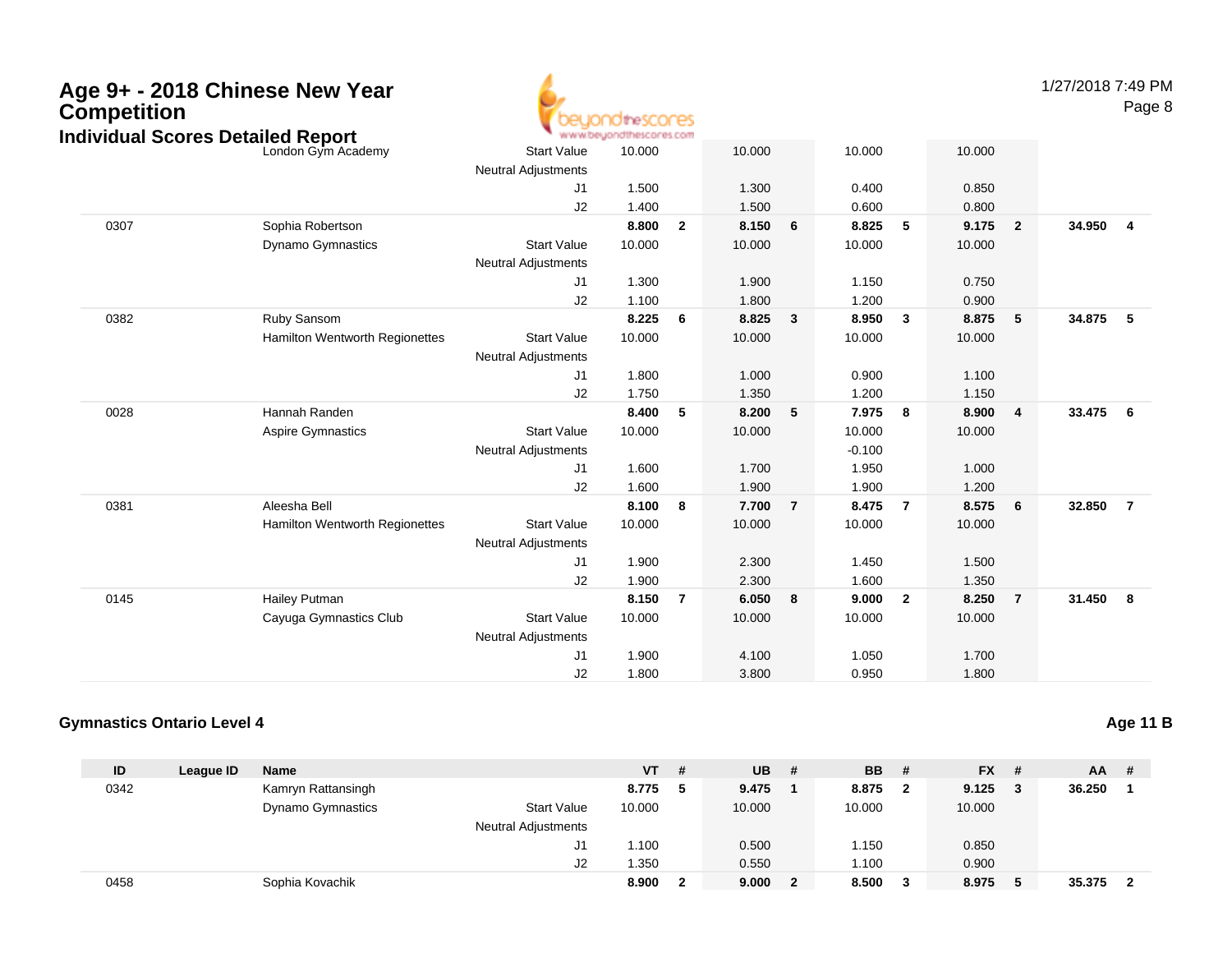| Competition<br><b>Individual Scores Detailed Report</b> | Age 9+ - 2018 Chinese New Year |                                                  | dihescores<br>www.beyondthescores.com |                |                |                |                    |                |                |                | 1/27/2018 7:49 PM | Page 8         |
|---------------------------------------------------------|--------------------------------|--------------------------------------------------|---------------------------------------|----------------|----------------|----------------|--------------------|----------------|----------------|----------------|-------------------|----------------|
|                                                         | London Gym Academy             | <b>Start Value</b><br><b>Neutral Adjustments</b> | 10.000                                |                | 10.000         |                | 10.000             |                | 10.000         |                |                   |                |
|                                                         |                                | J1<br>J2                                         | 1.500<br>1.400                        |                | 1.300<br>1.500 |                | 0.400<br>0.600     |                | 0.850<br>0.800 |                |                   |                |
| 0307                                                    | Sophia Robertson               |                                                  | 8.800                                 | $\overline{2}$ | 8.150          | 6              | 8.825              | 5              | 9.175          | $\overline{2}$ | 34.950            | 4              |
|                                                         | Dynamo Gymnastics              | <b>Start Value</b><br><b>Neutral Adjustments</b> | 10.000                                |                | 10.000         |                | 10.000             |                | 10.000         |                |                   |                |
|                                                         |                                | J1                                               | 1.300                                 |                | 1.900          |                | 1.150              |                | 0.750          |                |                   |                |
|                                                         |                                | J2                                               | 1.100                                 |                | 1.800          |                | 1.200              |                | 0.900          |                |                   |                |
| 0382                                                    | Ruby Sansom                    |                                                  | 8.225                                 | 6              | 8.825          | $\mathbf{3}$   | 8.950              | $\mathbf{3}$   | 8.875          | 5              | 34.875            | 5              |
|                                                         | Hamilton Wentworth Regionettes | <b>Start Value</b><br><b>Neutral Adjustments</b> | 10.000                                |                | 10.000         |                | 10.000             |                | 10.000         |                |                   |                |
|                                                         |                                | J1                                               | 1.800                                 |                | 1.000          |                | 0.900              |                | 1.100          |                |                   |                |
|                                                         |                                | J2                                               | 1.750                                 |                | 1.350          |                | 1.200              |                | 1.150          |                |                   |                |
| 0028                                                    | Hannah Randen                  |                                                  | 8.400                                 | 5              | 8.200          | 5              | 7.975              | 8              | 8.900          | 4              | 33.475            | 6              |
|                                                         | <b>Aspire Gymnastics</b>       | <b>Start Value</b><br><b>Neutral Adjustments</b> | 10.000                                |                | 10.000         |                | 10.000<br>$-0.100$ |                | 10.000         |                |                   |                |
|                                                         |                                | J1                                               | 1.600                                 |                | 1.700          |                | 1.950              |                | 1.000          |                |                   |                |
|                                                         |                                | J2                                               | 1.600                                 |                | 1.900          |                | 1.900              |                | 1.200          |                |                   |                |
| 0381                                                    | Aleesha Bell                   |                                                  | 8.100                                 | 8              | 7.700          | $\overline{7}$ | 8.475              | $\overline{7}$ | 8.575          | 6              | 32.850            | $\overline{7}$ |
|                                                         | Hamilton Wentworth Regionettes | <b>Start Value</b><br><b>Neutral Adjustments</b> | 10.000                                |                | 10.000         |                | 10.000             |                | 10.000         |                |                   |                |
|                                                         |                                | J1                                               | 1.900                                 |                | 2.300          |                | 1.450              |                | 1.500          |                |                   |                |
|                                                         |                                | J2                                               | 1.900                                 |                | 2.300          |                | 1.600              |                | 1.350          |                |                   |                |
| 0145                                                    | Hailey Putman                  |                                                  | 8.150                                 | $\overline{7}$ | 6.050          | 8              | 9.000              | $\overline{2}$ | 8.250          | $\overline{7}$ | 31.450            | 8              |
|                                                         | Cayuga Gymnastics Club         | <b>Start Value</b><br><b>Neutral Adjustments</b> | 10.000                                |                | 10.000         |                | 10.000             |                | 10.000         |                |                   |                |
|                                                         |                                | J1                                               | 1.900                                 |                | 4.100          |                | 1.050              |                | 1.700          |                |                   |                |
|                                                         |                                | J2                                               | 1.800                                 |                | 3.800          |                | 0.950              |                | 1.800          |                |                   |                |

### **Gymnastics Ontario Level 4**

| ID   | League ID | Name               |                            | VT     | # | <b>UB</b> | # | <b>BB</b> | # | $FX$ # |   | $AA$ # |                         |
|------|-----------|--------------------|----------------------------|--------|---|-----------|---|-----------|---|--------|---|--------|-------------------------|
| 0342 |           | Kamryn Rattansingh |                            | 8.775  | 5 | 9.475     |   | 8.875     | 2 | 9.125  | 3 | 36.250 |                         |
|      |           | Dynamo Gymnastics  | <b>Start Value</b>         | 10.000 |   | 10.000    |   | 10.000    |   | 10.000 |   |        |                         |
|      |           |                    | <b>Neutral Adjustments</b> |        |   |           |   |           |   |        |   |        |                         |
|      |           |                    | J1                         | 1.100  |   | 0.500     |   | 1.150     |   | 0.850  |   |        |                         |
|      |           |                    | J <sub>2</sub>             | 1.350  |   | 0.550     |   | 1.100     |   | 0.900  |   |        |                         |
| 0458 |           | Sophia Kovachik    |                            | 8.900  |   | 9.000     |   | 8.500     | 3 | 8.975  |   | 35.375 | $\overline{\mathbf{2}}$ |

**Age 11 B**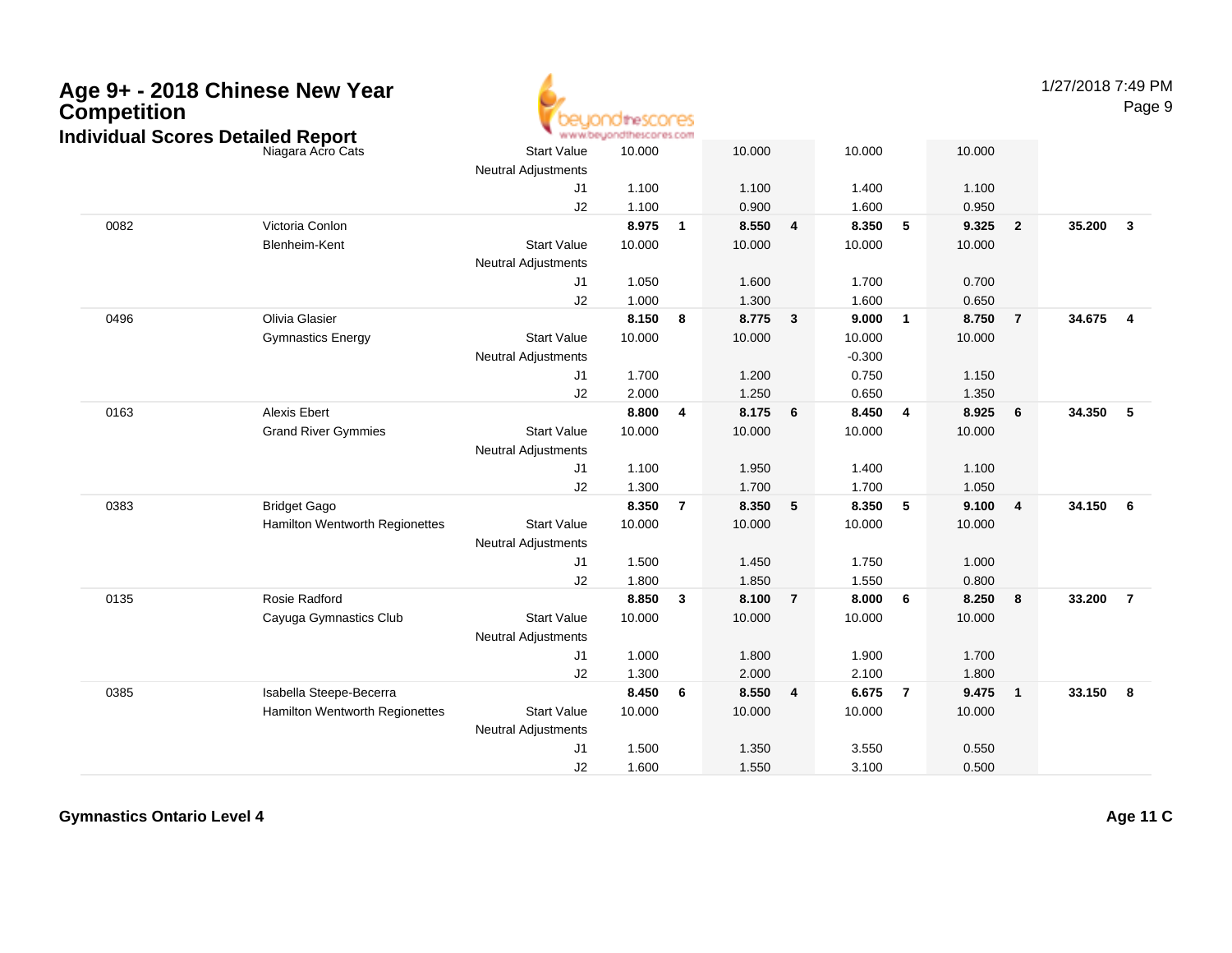| Competition | Age 9+ - 2018 Chinese New Year<br><b>Individual Scores Detailed Report</b> |                            | hdinescores<br>www.beyondthescores.com |                         |        |                         |          |                 |        |                | 1/27/2018 7:49 PM | Page 9                  |
|-------------|----------------------------------------------------------------------------|----------------------------|----------------------------------------|-------------------------|--------|-------------------------|----------|-----------------|--------|----------------|-------------------|-------------------------|
|             | Niagara Acro Cats                                                          | <b>Start Value</b>         | 10.000                                 |                         | 10.000 |                         | 10.000   |                 | 10.000 |                |                   |                         |
|             |                                                                            | <b>Neutral Adjustments</b> |                                        |                         |        |                         |          |                 |        |                |                   |                         |
|             |                                                                            | J <sub>1</sub>             | 1.100                                  |                         | 1.100  |                         | 1.400    |                 | 1.100  |                |                   |                         |
|             |                                                                            | J2                         | 1.100                                  |                         | 0.900  |                         | 1.600    |                 | 0.950  |                |                   |                         |
| 0082        | Victoria Conlon                                                            |                            | 8.975                                  | $\overline{1}$          | 8.550  | 4                       | 8.350    | $5\phantom{.0}$ | 9.325  | $\overline{2}$ | 35.200            | $\mathbf{3}$            |
|             | Blenheim-Kent                                                              | <b>Start Value</b>         | 10.000                                 |                         | 10.000 |                         | 10.000   |                 | 10.000 |                |                   |                         |
|             |                                                                            | <b>Neutral Adjustments</b> |                                        |                         |        |                         |          |                 |        |                |                   |                         |
|             |                                                                            | J1                         | 1.050                                  |                         | 1.600  |                         | 1.700    |                 | 0.700  |                |                   |                         |
|             |                                                                            | J2                         | 1.000                                  |                         | 1.300  |                         | 1.600    |                 | 0.650  |                |                   |                         |
| 0496        | Olivia Glasier                                                             |                            | 8.150                                  | $\overline{\mathbf{8}}$ | 8.775  | $\overline{\mathbf{3}}$ | 9.000    | $\overline{1}$  | 8.750  | $\overline{7}$ | 34.675            | $\overline{\mathbf{4}}$ |
|             | <b>Gymnastics Energy</b>                                                   | <b>Start Value</b>         | 10.000                                 |                         | 10.000 |                         | 10.000   |                 | 10.000 |                |                   |                         |
|             |                                                                            | <b>Neutral Adjustments</b> |                                        |                         |        |                         | $-0.300$ |                 |        |                |                   |                         |
|             |                                                                            | J1                         | 1.700                                  |                         | 1.200  |                         | 0.750    |                 | 1.150  |                |                   |                         |
|             |                                                                            | J2                         | 2.000                                  |                         | 1.250  |                         | 0.650    |                 | 1.350  |                |                   |                         |
| 0163        | <b>Alexis Ebert</b>                                                        |                            | 8.800                                  | $\overline{4}$          | 8.175  | 6                       | 8.450    | $\overline{4}$  | 8.925  | 6              | 34.350            | 5                       |
|             | <b>Grand River Gymmies</b>                                                 | <b>Start Value</b>         | 10.000                                 |                         | 10.000 |                         | 10.000   |                 | 10.000 |                |                   |                         |
|             |                                                                            | <b>Neutral Adjustments</b> |                                        |                         |        |                         |          |                 |        |                |                   |                         |
|             |                                                                            | J <sub>1</sub>             | 1.100                                  |                         | 1.950  |                         | 1.400    |                 | 1.100  |                |                   |                         |
|             |                                                                            | J2                         | 1.300                                  |                         | 1.700  |                         | 1.700    |                 | 1.050  |                |                   |                         |
| 0383        | <b>Bridget Gago</b>                                                        |                            | 8.350                                  | $\overline{7}$          | 8.350  | 5                       | 8.350    | 5               | 9.100  | 4              | 34.150            | 6                       |
|             | Hamilton Wentworth Regionettes                                             | <b>Start Value</b>         | 10.000                                 |                         | 10.000 |                         | 10.000   |                 | 10.000 |                |                   |                         |
|             |                                                                            | <b>Neutral Adjustments</b> |                                        |                         |        |                         |          |                 |        |                |                   |                         |
|             |                                                                            | J <sub>1</sub>             | 1.500                                  |                         | 1.450  |                         | 1.750    |                 | 1.000  |                |                   |                         |
|             |                                                                            | J2                         | 1.800                                  |                         | 1.850  |                         | 1.550    |                 | 0.800  |                |                   |                         |
| 0135        | Rosie Radford                                                              |                            | 8.850                                  | $\overline{\mathbf{3}}$ | 8.100  | $\overline{7}$          | 8.000    | 6               | 8.250  | 8              | 33.200            | $\overline{7}$          |
|             | Cayuga Gymnastics Club                                                     | <b>Start Value</b>         | 10.000                                 |                         | 10.000 |                         | 10.000   |                 | 10.000 |                |                   |                         |
|             |                                                                            | <b>Neutral Adjustments</b> |                                        |                         |        |                         |          |                 |        |                |                   |                         |
|             |                                                                            | J1                         | 1.000                                  |                         | 1.800  |                         | 1.900    |                 | 1.700  |                |                   |                         |
|             |                                                                            | J2                         | 1.300                                  |                         | 2.000  |                         | 2.100    |                 | 1.800  |                |                   |                         |
| 0385        | Isabella Steepe-Becerra                                                    |                            | 8.450                                  | - 6                     | 8.550  | $\overline{4}$          | 6.675    | $\overline{7}$  | 9.475  | $\mathbf{1}$   | 33.150            | -8                      |
|             | <b>Hamilton Wentworth Regionettes</b>                                      | <b>Start Value</b>         | 10.000                                 |                         | 10.000 |                         | 10.000   |                 | 10.000 |                |                   |                         |
|             |                                                                            | <b>Neutral Adjustments</b> |                                        |                         |        |                         |          |                 |        |                |                   |                         |
|             |                                                                            | J <sub>1</sub>             | 1.500                                  |                         | 1.350  |                         | 3.550    |                 | 0.550  |                |                   |                         |
|             |                                                                            | J2                         | 1.600                                  |                         | 1.550  |                         | 3.100    |                 | 0.500  |                |                   |                         |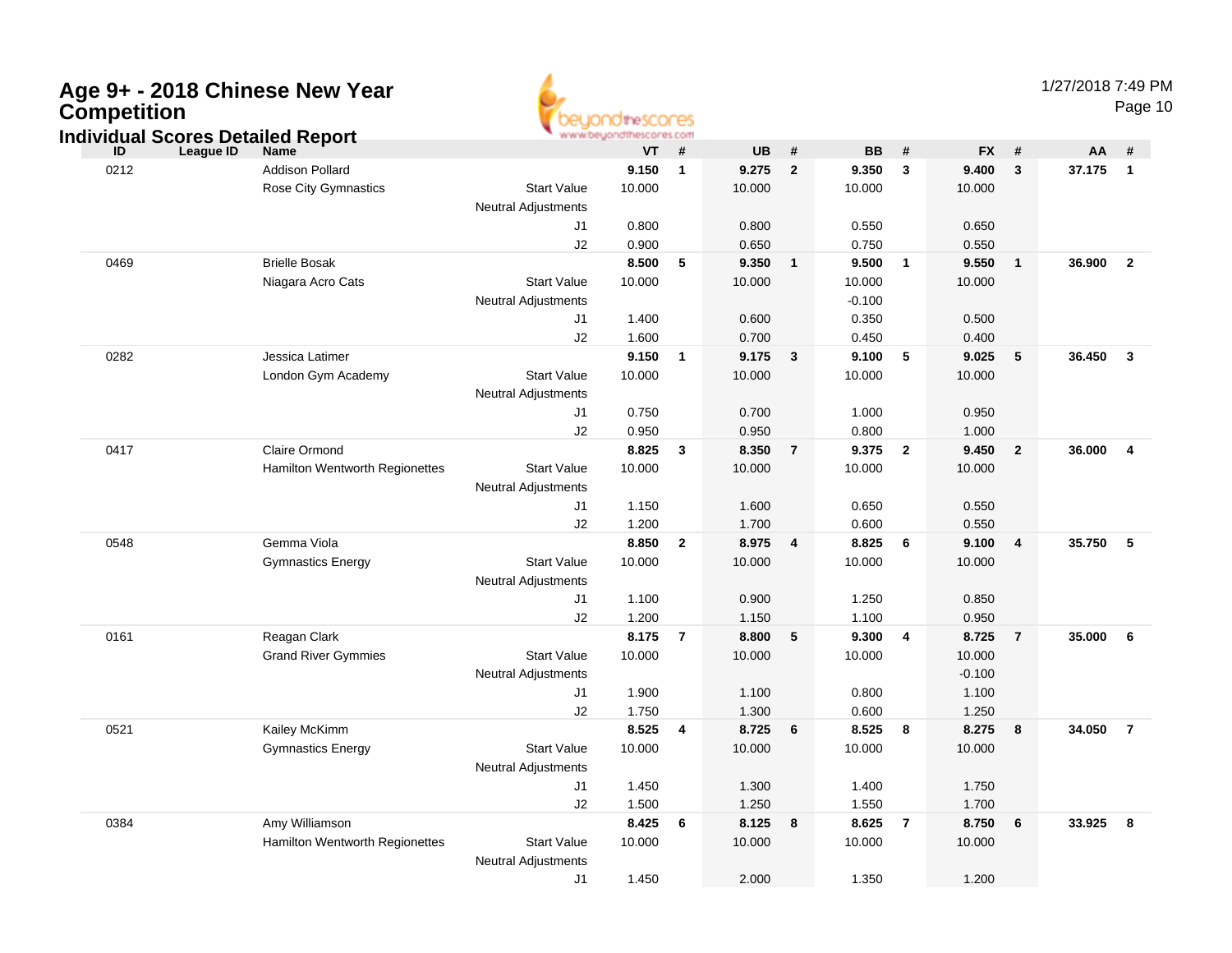| Age 9+ - 2018 Chinese New Year |  |
|--------------------------------|--|
| <b>Competition</b>             |  |



Page 10

|      | Individual Scores Detailed Report     |                                              | www.beyondthescores.com |                         |           |                |           |                |          |                         |        |                |
|------|---------------------------------------|----------------------------------------------|-------------------------|-------------------------|-----------|----------------|-----------|----------------|----------|-------------------------|--------|----------------|
| ID   | <b>League ID</b><br><b>Name</b>       |                                              | VT                      | #                       | <b>UB</b> | #              | <b>BB</b> | #              | FX #     |                         | AA     | #              |
| 0212 | <b>Addison Pollard</b>                |                                              | 9.150                   | $\overline{\mathbf{1}}$ | 9.275     | $\overline{2}$ | 9.350     | $\mathbf{3}$   | 9.400    | $\mathbf{3}$            | 37.175 | $\overline{1}$ |
|      | Rose City Gymnastics                  | <b>Start Value</b>                           | 10.000                  |                         | 10.000    |                | 10.000    |                | 10.000   |                         |        |                |
|      |                                       | Neutral Adjustments                          |                         |                         |           |                |           |                |          |                         |        |                |
|      |                                       | J1                                           | 0.800                   |                         | 0.800     |                | 0.550     |                | 0.650    |                         |        |                |
|      |                                       | J2                                           | 0.900                   |                         | 0.650     |                | 0.750     |                | 0.550    |                         |        |                |
| 0469 | <b>Brielle Bosak</b>                  |                                              | 8.500                   | 5                       | 9.350     | $\mathbf{1}$   | 9.500     | $\mathbf{1}$   | 9.550    | $\overline{\mathbf{1}}$ | 36.900 | $\overline{2}$ |
|      | Niagara Acro Cats                     | <b>Start Value</b>                           | 10.000                  |                         | 10.000    |                | 10.000    |                | 10.000   |                         |        |                |
|      |                                       | <b>Neutral Adjustments</b>                   |                         |                         |           |                | $-0.100$  |                |          |                         |        |                |
|      |                                       | J <sub>1</sub>                               | 1.400                   |                         | 0.600     |                | 0.350     |                | 0.500    |                         |        |                |
|      |                                       | J2                                           | 1.600                   |                         | 0.700     |                | 0.450     |                | 0.400    |                         |        |                |
| 0282 | Jessica Latimer                       |                                              | 9.150                   | $\overline{1}$          | 9.175     | $\mathbf{3}$   | 9.100     | 5              | 9.025    | 5                       | 36.450 | $\mathbf{3}$   |
|      | London Gym Academy                    | <b>Start Value</b>                           | 10.000                  |                         | 10.000    |                | 10.000    |                | 10.000   |                         |        |                |
|      |                                       | <b>Neutral Adjustments</b><br>J <sub>1</sub> |                         |                         | 0.700     |                | 1.000     |                | 0.950    |                         |        |                |
|      |                                       | J2                                           | 0.750<br>0.950          |                         | 0.950     |                | 0.800     |                | 1.000    |                         |        |                |
| 0417 | Claire Ormond                         |                                              | 8.825                   | $\mathbf{3}$            | 8.350     | $\overline{7}$ | 9.375     | $\mathbf{2}$   | 9.450    | $\overline{2}$          | 36.000 | $\overline{4}$ |
|      | Hamilton Wentworth Regionettes        | <b>Start Value</b>                           | 10.000                  |                         | 10.000    |                | 10.000    |                | 10.000   |                         |        |                |
|      |                                       | <b>Neutral Adjustments</b>                   |                         |                         |           |                |           |                |          |                         |        |                |
|      |                                       | J1                                           | 1.150                   |                         | 1.600     |                | 0.650     |                | 0.550    |                         |        |                |
|      |                                       | J2                                           | 1.200                   |                         | 1.700     |                | 0.600     |                | 0.550    |                         |        |                |
| 0548 | Gemma Viola                           |                                              | 8.850                   | $\overline{2}$          | 8.975     | 4              | 8.825     | 6              | 9.100    | 4                       | 35.750 | -5             |
|      | <b>Gymnastics Energy</b>              | <b>Start Value</b>                           | 10.000                  |                         | 10.000    |                | 10.000    |                | 10.000   |                         |        |                |
|      |                                       | <b>Neutral Adjustments</b>                   |                         |                         |           |                |           |                |          |                         |        |                |
|      |                                       | J1                                           | 1.100                   |                         | 0.900     |                | 1.250     |                | 0.850    |                         |        |                |
|      |                                       | J2                                           | 1.200                   |                         | 1.150     |                | 1.100     |                | 0.950    |                         |        |                |
| 0161 | Reagan Clark                          |                                              | 8.175                   | $\overline{7}$          | 8.800     | 5              | 9.300     | 4              | 8.725    | $\overline{7}$          | 35.000 | 6              |
|      | <b>Grand River Gymmies</b>            | <b>Start Value</b>                           | 10.000                  |                         | 10.000    |                | 10.000    |                | 10.000   |                         |        |                |
|      |                                       | <b>Neutral Adjustments</b>                   |                         |                         |           |                |           |                | $-0.100$ |                         |        |                |
|      |                                       | J1                                           | 1.900                   |                         | 1.100     |                | 0.800     |                | 1.100    |                         |        |                |
|      |                                       | J2                                           | 1.750                   |                         | 1.300     |                | 0.600     |                | 1.250    |                         |        |                |
| 0521 | Kailey McKimm                         |                                              | 8.525                   | 4                       | 8.725     | 6              | 8.525     | 8              | 8.275    | 8                       | 34.050 | $\overline{7}$ |
|      | <b>Gymnastics Energy</b>              | <b>Start Value</b>                           | 10.000                  |                         | 10.000    |                | 10.000    |                | 10.000   |                         |        |                |
|      |                                       | <b>Neutral Adjustments</b>                   |                         |                         |           |                |           |                |          |                         |        |                |
|      |                                       | J1                                           | 1.450                   |                         | 1.300     |                | 1.400     |                | 1.750    |                         |        |                |
|      |                                       | J2                                           | 1.500                   |                         | 1.250     |                | 1.550     |                | 1.700    |                         |        |                |
| 0384 | Amy Williamson                        |                                              | 8.425                   | 6                       | 8.125     | 8              | 8.625     | $\overline{7}$ | 8.750    | 6                       | 33.925 | 8              |
|      | <b>Hamilton Wentworth Regionettes</b> | <b>Start Value</b>                           | 10.000                  |                         | 10.000    |                | 10.000    |                | 10.000   |                         |        |                |
|      |                                       | <b>Neutral Adjustments</b>                   |                         |                         |           |                |           |                |          |                         |        |                |
|      |                                       | J1                                           | 1.450                   |                         | 2.000     |                | 1.350     |                | 1.200    |                         |        |                |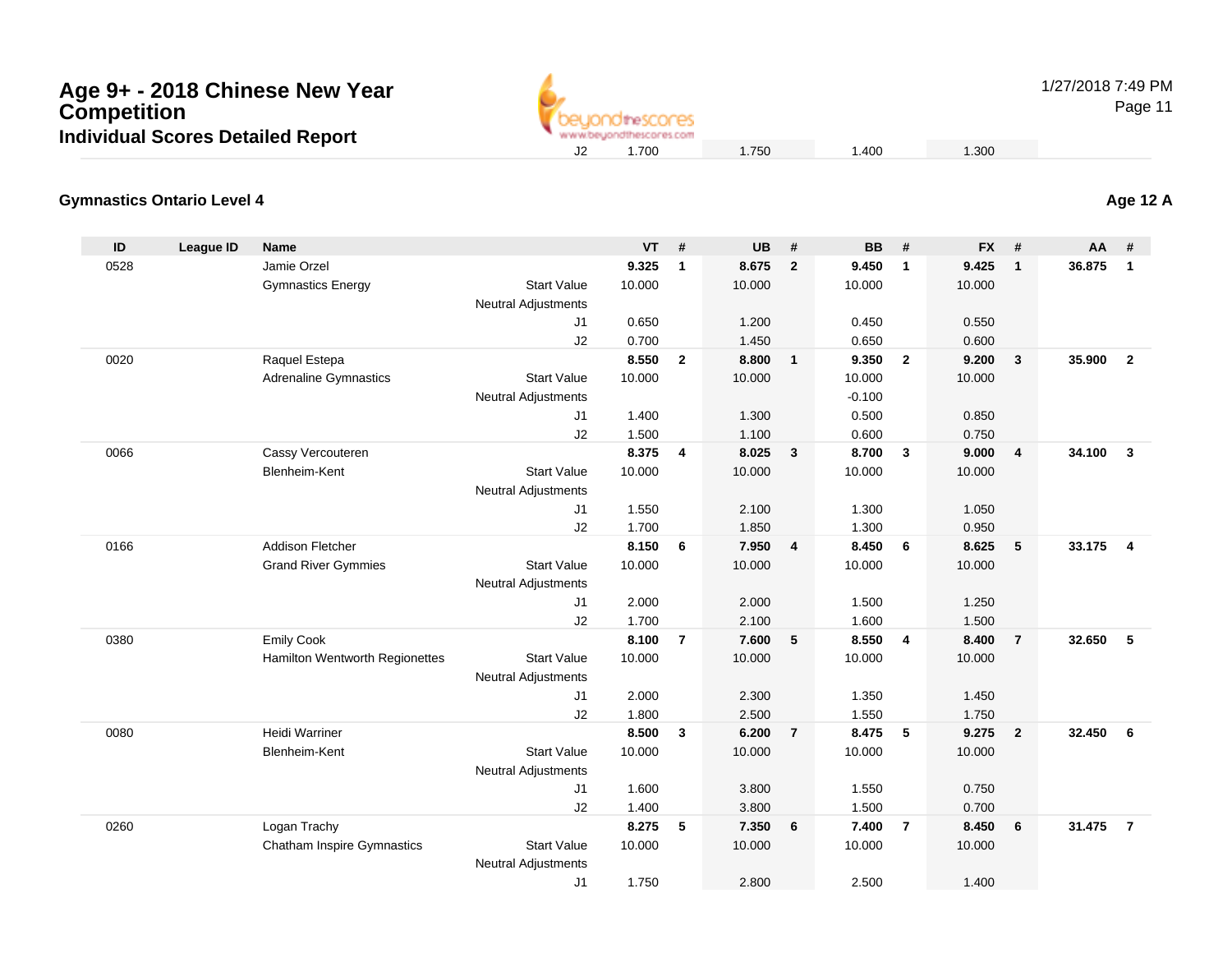

1/27/2018 7:49 PM

Page 11

#### **Gymnastics Ontario Level 4Age 12 A**

| ID   | League ID | <b>Name</b>                       |                                                  | <b>VT</b> | #              | <b>UB</b> | #                       | <b>BB</b> | #              | <b>FX</b> | #                       | AA     | #                       |
|------|-----------|-----------------------------------|--------------------------------------------------|-----------|----------------|-----------|-------------------------|-----------|----------------|-----------|-------------------------|--------|-------------------------|
| 0528 |           | Jamie Orzel                       |                                                  | 9.325     | $\mathbf{1}$   | 8.675     | $\overline{2}$          | 9.450     | $\mathbf{1}$   | 9.425     | $\mathbf{1}$            | 36.875 | $\mathbf{1}$            |
|      |           | <b>Gymnastics Energy</b>          | <b>Start Value</b>                               | 10.000    |                | 10.000    |                         | 10.000    |                | 10.000    |                         |        |                         |
|      |           |                                   | <b>Neutral Adjustments</b>                       |           |                |           |                         |           |                |           |                         |        |                         |
|      |           |                                   | J1                                               | 0.650     |                | 1.200     |                         | 0.450     |                | 0.550     |                         |        |                         |
|      |           |                                   | J2                                               | 0.700     |                | 1.450     |                         | 0.650     |                | 0.600     |                         |        |                         |
| 0020 |           | Raquel Estepa                     |                                                  | 8.550     | $\overline{2}$ | 8.800     | $\overline{1}$          | 9.350     | $\overline{2}$ | 9.200     | $\mathbf{3}$            | 35.900 | $\overline{2}$          |
|      |           | <b>Adrenaline Gymnastics</b>      | <b>Start Value</b>                               | 10.000    |                | 10.000    |                         | 10.000    |                | 10.000    |                         |        |                         |
|      |           |                                   | <b>Neutral Adjustments</b>                       |           |                |           |                         | $-0.100$  |                |           |                         |        |                         |
|      |           |                                   | J1                                               | 1.400     |                | 1.300     |                         | 0.500     |                | 0.850     |                         |        |                         |
|      |           |                                   | J2                                               | 1.500     |                | 1.100     |                         | 0.600     |                | 0.750     |                         |        |                         |
| 0066 |           | Cassy Vercouteren                 |                                                  | 8.375     | $\overline{4}$ | 8.025     | $\overline{\mathbf{3}}$ | 8.700     | 3              | 9.000     | 4                       | 34.100 | $\overline{\mathbf{3}}$ |
|      |           | Blenheim-Kent                     | <b>Start Value</b>                               | 10.000    |                | 10.000    |                         | 10.000    |                | 10.000    |                         |        |                         |
|      |           |                                   | <b>Neutral Adjustments</b>                       |           |                |           |                         |           |                |           |                         |        |                         |
|      |           |                                   | J1                                               | 1.550     |                | 2.100     |                         | 1.300     |                | 1.050     |                         |        |                         |
|      |           |                                   | J2                                               | 1.700     |                | 1.850     |                         | 1.300     |                | 0.950     |                         |        |                         |
| 0166 |           | <b>Addison Fletcher</b>           |                                                  | 8.150     | 6              | 7.950     | $\overline{4}$          | 8.450     | 6              | 8.625     | 5                       | 33.175 | $\overline{4}$          |
|      |           | <b>Grand River Gymmies</b>        | <b>Start Value</b>                               | 10.000    |                | 10.000    |                         | 10.000    |                | 10.000    |                         |        |                         |
|      |           |                                   | <b>Neutral Adjustments</b>                       |           |                |           |                         |           |                |           |                         |        |                         |
|      |           |                                   | J1                                               | 2.000     |                | 2.000     |                         | 1.500     |                | 1.250     |                         |        |                         |
|      |           |                                   | J2                                               | 1.700     |                | 2.100     |                         | 1.600     |                | 1.500     |                         |        |                         |
| 0380 |           | <b>Emily Cook</b>                 |                                                  | 8.100     | $\overline{7}$ | 7.600     | 5                       | 8.550     | $\overline{4}$ | 8.400     | $\overline{\mathbf{r}}$ | 32.650 | 5                       |
|      |           | Hamilton Wentworth Regionettes    | <b>Start Value</b><br><b>Neutral Adjustments</b> | 10.000    |                | 10.000    |                         | 10.000    |                | 10.000    |                         |        |                         |
|      |           |                                   | J <sub>1</sub>                                   | 2.000     |                | 2.300     |                         | 1.350     |                | 1.450     |                         |        |                         |
|      |           |                                   | J2                                               | 1.800     |                | 2.500     |                         | 1.550     |                | 1.750     |                         |        |                         |
| 0080 |           | Heidi Warriner                    |                                                  | 8.500     | 3              | 6.200     | $\overline{7}$          | 8.475     | 5              | 9.275     | $\overline{2}$          | 32.450 | 6                       |
|      |           | Blenheim-Kent                     | <b>Start Value</b>                               | 10.000    |                | 10.000    |                         | 10.000    |                | 10.000    |                         |        |                         |
|      |           |                                   | <b>Neutral Adjustments</b>                       |           |                |           |                         |           |                |           |                         |        |                         |
|      |           |                                   | J <sub>1</sub>                                   | 1.600     |                | 3.800     |                         | 1.550     |                | 0.750     |                         |        |                         |
|      |           |                                   | J2                                               | 1.400     |                | 3.800     |                         | 1.500     |                | 0.700     |                         |        |                         |
| 0260 |           | Logan Trachy                      |                                                  | 8.275     | 5              | 7.350     | 6                       | 7.400     | $\overline{7}$ | 8.450     | 6                       | 31.475 | $\overline{7}$          |
|      |           | <b>Chatham Inspire Gymnastics</b> | <b>Start Value</b>                               | 10.000    |                | 10.000    |                         | 10.000    |                | 10.000    |                         |        |                         |
|      |           |                                   | <b>Neutral Adjustments</b>                       |           |                |           |                         |           |                |           |                         |        |                         |
|      |           |                                   | J1                                               | 1.750     |                | 2.800     |                         | 2.500     |                | 1.400     |                         |        |                         |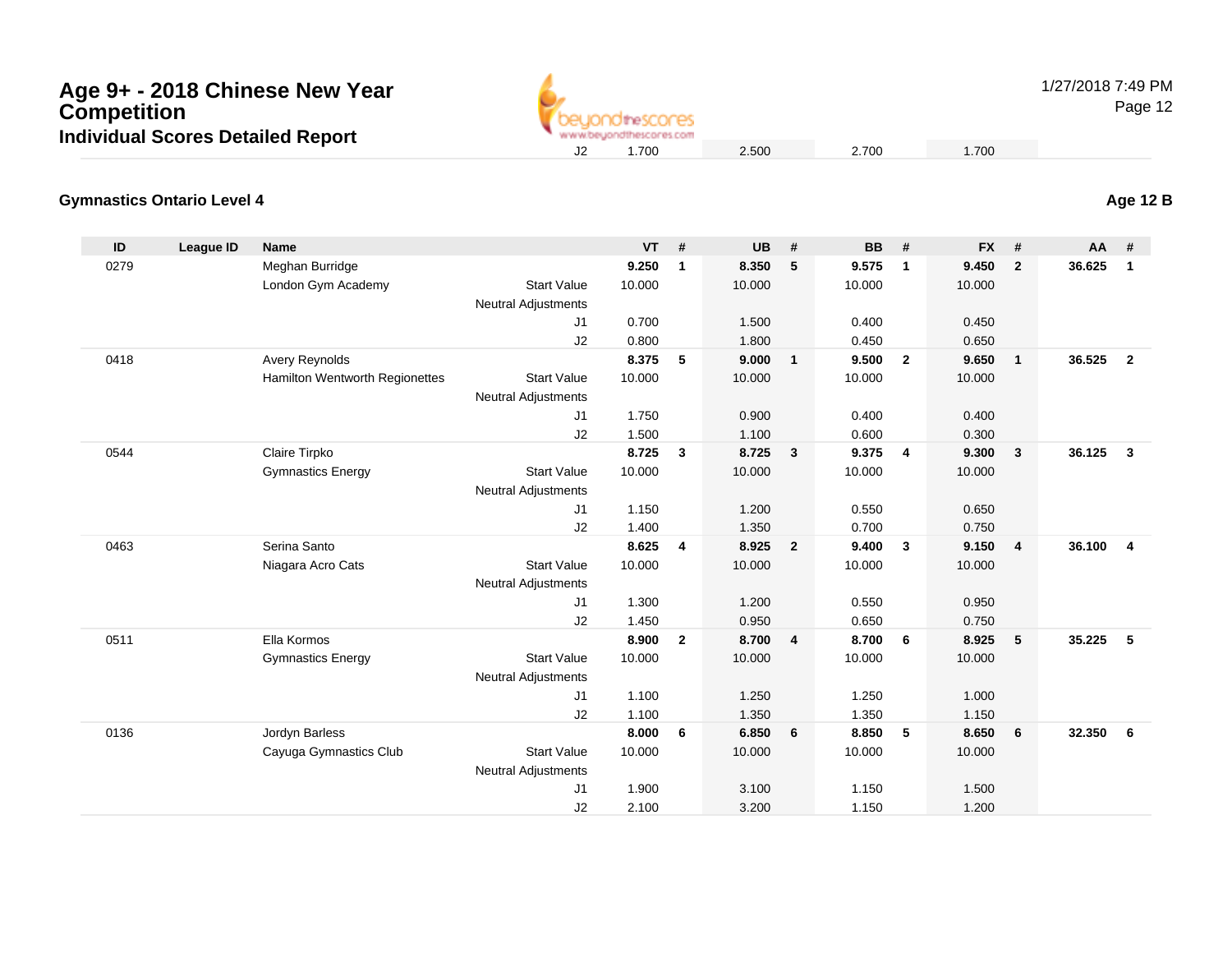| Age 9+ - 2018 Chinese New Year           |  |
|------------------------------------------|--|
| <b>Competition</b>                       |  |
| <b>Individual Scores Detailed Report</b> |  |



1/27/2018 7:49 PM

Page 12

### **Gymnastics Ontario Level 4**

| ID   | League ID | <b>Name</b>                    |                            | <b>VT</b> | #            | <b>UB</b> | #                       | <b>BB</b> | #              | <b>FX</b> | #              | AA     | #              |
|------|-----------|--------------------------------|----------------------------|-----------|--------------|-----------|-------------------------|-----------|----------------|-----------|----------------|--------|----------------|
| 0279 |           | Meghan Burridge                |                            | 9.250     | $\mathbf{1}$ | 8.350     | 5                       | 9.575     | $\mathbf{1}$   | 9.450     | $\overline{2}$ | 36.625 | $\overline{1}$ |
|      |           | London Gym Academy             | <b>Start Value</b>         | 10.000    |              | 10.000    |                         | 10.000    |                | 10.000    |                |        |                |
|      |           |                                | <b>Neutral Adjustments</b> |           |              |           |                         |           |                |           |                |        |                |
|      |           |                                | J1                         | 0.700     |              | 1.500     |                         | 0.400     |                | 0.450     |                |        |                |
|      |           |                                | J2                         | 0.800     |              | 1.800     |                         | 0.450     |                | 0.650     |                |        |                |
| 0418 |           | Avery Reynolds                 |                            | 8.375     | 5            | 9.000     | $\overline{1}$          | 9.500     | $\overline{2}$ | 9.650     | $\mathbf{1}$   | 36.525 | $\overline{2}$ |
|      |           | Hamilton Wentworth Regionettes | <b>Start Value</b>         | 10.000    |              | 10.000    |                         | 10.000    |                | 10.000    |                |        |                |
|      |           |                                | <b>Neutral Adjustments</b> |           |              |           |                         |           |                |           |                |        |                |
|      |           |                                | J1                         | 1.750     |              | 0.900     |                         | 0.400     |                | 0.400     |                |        |                |
|      |           |                                | J2                         | 1.500     |              | 1.100     |                         | 0.600     |                | 0.300     |                |        |                |
| 0544 |           | Claire Tirpko                  |                            | 8.725     | $\mathbf{3}$ | 8.725     | $\overline{\mathbf{3}}$ | 9.375     | $\overline{4}$ | 9.300     | 3              | 36.125 | $\mathbf{3}$   |
|      |           | <b>Gymnastics Energy</b>       | <b>Start Value</b>         | 10.000    |              | 10.000    |                         | 10.000    |                | 10.000    |                |        |                |
|      |           |                                | <b>Neutral Adjustments</b> |           |              |           |                         |           |                |           |                |        |                |
|      |           |                                | J1                         | 1.150     |              | 1.200     |                         | 0.550     |                | 0.650     |                |        |                |
|      |           |                                | J2                         | 1.400     |              | 1.350     |                         | 0.700     |                | 0.750     |                |        |                |
| 0463 |           | Serina Santo                   |                            | 8.625     | 4            | 8.925     | $\overline{2}$          | 9.400     | 3              | 9.150     | 4              | 36.100 | $\overline{4}$ |
|      |           | Niagara Acro Cats              | <b>Start Value</b>         | 10.000    |              | 10.000    |                         | 10.000    |                | 10.000    |                |        |                |
|      |           |                                | <b>Neutral Adjustments</b> |           |              |           |                         |           |                |           |                |        |                |
|      |           |                                | J1                         | 1.300     |              | 1.200     |                         | 0.550     |                | 0.950     |                |        |                |
|      |           |                                | J2                         | 1.450     |              | 0.950     |                         | 0.650     |                | 0.750     |                |        |                |
| 0511 |           | Ella Kormos                    |                            | 8.900     | $\mathbf{2}$ | 8.700     | $\overline{4}$          | 8.700     | 6              | 8.925     | 5              | 35.225 | 5              |
|      |           | <b>Gymnastics Energy</b>       | <b>Start Value</b>         | 10.000    |              | 10.000    |                         | 10.000    |                | 10.000    |                |        |                |
|      |           |                                | <b>Neutral Adjustments</b> |           |              |           |                         |           |                |           |                |        |                |
|      |           |                                | J1                         | 1.100     |              | 1.250     |                         | 1.250     |                | 1.000     |                |        |                |
|      |           |                                | J2                         | 1.100     |              | 1.350     |                         | 1.350     |                | 1.150     |                |        |                |
| 0136 |           | Jordyn Barless                 |                            | 8.000     | 6            | 6.850     | 6                       | 8.850     | 5              | 8.650     | 6              | 32.350 | 6              |
|      |           | Cayuga Gymnastics Club         | <b>Start Value</b>         | 10.000    |              | 10.000    |                         | 10.000    |                | 10.000    |                |        |                |
|      |           |                                | <b>Neutral Adjustments</b> |           |              |           |                         |           |                |           |                |        |                |
|      |           |                                | J1                         | 1.900     |              | 3.100     |                         | 1.150     |                | 1.500     |                |        |                |
|      |           |                                | J2                         | 2.100     |              | 3.200     |                         | 1.150     |                | 1.200     |                |        |                |

**Age 12 B**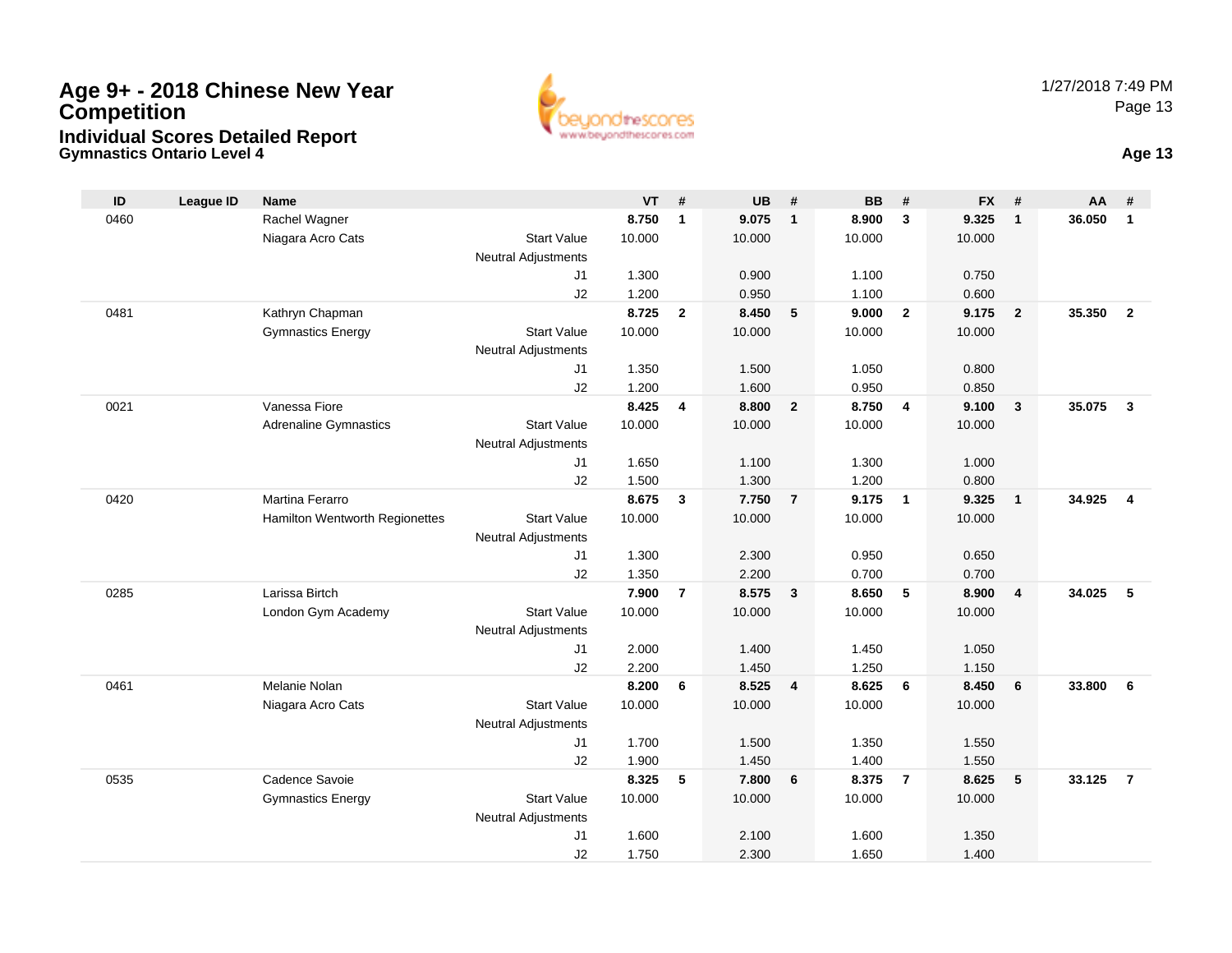

**Gymnastics Ontario Level 4 Age 13**

| ID   | <b>League ID</b> | <b>Name</b>                    |                                  | <b>VT</b> | #              | <b>UB</b> | #              | <b>BB</b> | #                       | <b>FX</b> | #                       | AA     | #              |
|------|------------------|--------------------------------|----------------------------------|-----------|----------------|-----------|----------------|-----------|-------------------------|-----------|-------------------------|--------|----------------|
| 0460 |                  | Rachel Wagner                  |                                  | 8.750     | $\mathbf{1}$   | 9.075     | $\mathbf{1}$   | 8.900     | $\overline{\mathbf{3}}$ | 9.325     | $\overline{1}$          | 36.050 | $\mathbf{1}$   |
|      |                  | Niagara Acro Cats              | <b>Start Value</b>               | 10.000    |                | 10.000    |                | 10.000    |                         | 10.000    |                         |        |                |
|      |                  |                                | <b>Neutral Adjustments</b>       |           |                |           |                |           |                         |           |                         |        |                |
|      |                  |                                | J <sub>1</sub>                   | 1.300     |                | 0.900     |                | 1.100     |                         | 0.750     |                         |        |                |
|      |                  |                                | J2                               | 1.200     |                | 0.950     |                | 1.100     |                         | 0.600     |                         |        |                |
| 0481 |                  | Kathryn Chapman                |                                  | 8.725     | $\overline{2}$ | 8.450     | 5              | 9.000     | $\overline{2}$          | 9.175     | $\overline{2}$          | 35.350 | $\overline{2}$ |
|      |                  | <b>Gymnastics Energy</b>       | <b>Start Value</b>               | 10.000    |                | 10.000    |                | 10.000    |                         | 10.000    |                         |        |                |
|      |                  |                                | <b>Neutral Adjustments</b>       |           |                |           |                |           |                         |           |                         |        |                |
|      |                  |                                | J1                               | 1.350     |                | 1.500     |                | 1.050     |                         | 0.800     |                         |        |                |
|      |                  |                                | J2                               | 1.200     |                | 1.600     |                | 0.950     |                         | 0.850     |                         |        |                |
| 0021 |                  | Vanessa Fiore                  |                                  | 8.425     | 4              | 8.800     | $\overline{2}$ | 8.750     | $\overline{4}$          | 9.100     | $\overline{\mathbf{3}}$ | 35.075 | $\mathbf{3}$   |
|      |                  | <b>Adrenaline Gymnastics</b>   | <b>Start Value</b>               | 10.000    |                | 10.000    |                | 10.000    |                         | 10.000    |                         |        |                |
|      |                  |                                | <b>Neutral Adjustments</b>       |           |                |           |                |           |                         |           |                         |        |                |
|      |                  |                                | J1                               | 1.650     |                | 1.100     |                | 1.300     |                         | 1.000     |                         |        |                |
|      |                  |                                | J2                               | 1.500     |                | 1.300     |                | 1.200     |                         | 0.800     |                         |        |                |
| 0420 |                  | Martina Ferarro                |                                  | 8.675     | $\mathbf{3}$   | 7.750     | $\overline{7}$ | 9.175     | $\overline{1}$          | 9.325     | $\overline{1}$          | 34.925 | $\overline{4}$ |
|      |                  | Hamilton Wentworth Regionettes | <b>Start Value</b>               | 10.000    |                | 10.000    |                | 10.000    |                         | 10.000    |                         |        |                |
|      |                  |                                | <b>Neutral Adjustments</b><br>J1 | 1.300     |                | 2.300     |                | 0.950     |                         | 0.650     |                         |        |                |
|      |                  |                                | J2                               | 1.350     |                | 2.200     |                | 0.700     |                         | 0.700     |                         |        |                |
| 0285 |                  | Larissa Birtch                 |                                  | 7.900     | $\overline{7}$ | 8.575     | $\mathbf{3}$   | 8.650     | $-5$                    | 8.900     | $\overline{4}$          | 34.025 | 5              |
|      |                  | London Gym Academy             | <b>Start Value</b>               | 10.000    |                | 10.000    |                | 10.000    |                         | 10.000    |                         |        |                |
|      |                  |                                | <b>Neutral Adjustments</b>       |           |                |           |                |           |                         |           |                         |        |                |
|      |                  |                                | J1                               | 2.000     |                | 1.400     |                | 1.450     |                         | 1.050     |                         |        |                |
|      |                  |                                | J2                               | 2.200     |                | 1.450     |                | 1.250     |                         | 1.150     |                         |        |                |
| 0461 |                  | Melanie Nolan                  |                                  | 8.200     | 6              | 8.525     | $\overline{4}$ | 8.625     | 6                       | 8.450     | 6                       | 33.800 | 6              |
|      |                  | Niagara Acro Cats              | <b>Start Value</b>               | 10.000    |                | 10.000    |                | 10.000    |                         | 10.000    |                         |        |                |
|      |                  |                                | <b>Neutral Adjustments</b>       |           |                |           |                |           |                         |           |                         |        |                |
|      |                  |                                | J1                               | 1.700     |                | 1.500     |                | 1.350     |                         | 1.550     |                         |        |                |
|      |                  |                                | J2                               | 1.900     |                | 1.450     |                | 1.400     |                         | 1.550     |                         |        |                |
| 0535 |                  | Cadence Savoie                 |                                  | 8.325     | 5              | 7.800     | 6              | 8.375     | $\overline{7}$          | 8.625     | 5                       | 33.125 | $\overline{7}$ |
|      |                  | <b>Gymnastics Energy</b>       | <b>Start Value</b>               | 10.000    |                | 10.000    |                | 10.000    |                         | 10.000    |                         |        |                |
|      |                  |                                | <b>Neutral Adjustments</b>       |           |                |           |                |           |                         |           |                         |        |                |
|      |                  |                                | J <sub>1</sub>                   | 1.600     |                | 2.100     |                | 1.600     |                         | 1.350     |                         |        |                |
|      |                  |                                | J2                               | 1.750     |                | 2.300     |                | 1.650     |                         | 1.400     |                         |        |                |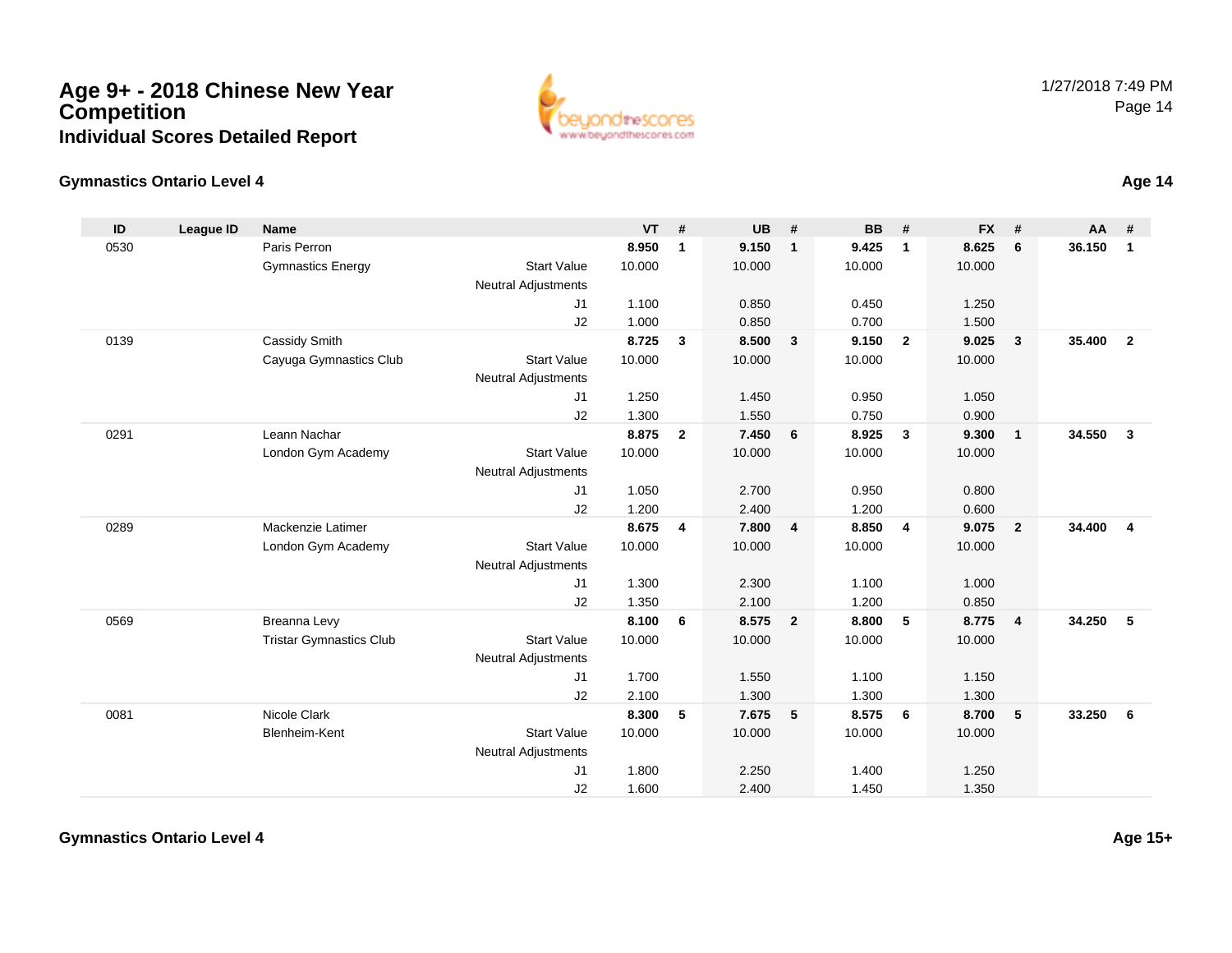

#### **Gymnastics Ontario Level 4**

| ID   | <b>League ID</b> | <b>Name</b>                    |                            | <b>VT</b> | #              | <b>UB</b> | #                       | <b>BB</b> | #              | <b>FX</b> | #            | <b>AA</b> | #              |
|------|------------------|--------------------------------|----------------------------|-----------|----------------|-----------|-------------------------|-----------|----------------|-----------|--------------|-----------|----------------|
| 0530 |                  | Paris Perron                   |                            | 8.950     | 1              | 9.150     | $\mathbf{1}$            | 9.425     | $\mathbf{1}$   | 8.625     | 6            | 36.150    | $\mathbf{1}$   |
|      |                  | <b>Gymnastics Energy</b>       | <b>Start Value</b>         | 10.000    |                | 10.000    |                         | 10.000    |                | 10.000    |              |           |                |
|      |                  |                                | <b>Neutral Adjustments</b> |           |                |           |                         |           |                |           |              |           |                |
|      |                  |                                | J1                         | 1.100     |                | 0.850     |                         | 0.450     |                | 1.250     |              |           |                |
|      |                  |                                | J2                         | 1.000     |                | 0.850     |                         | 0.700     |                | 1.500     |              |           |                |
| 0139 |                  | Cassidy Smith                  |                            | 8.725     | $\mathbf{3}$   | 8.500     | $\overline{\mathbf{3}}$ | 9.150     | $\overline{2}$ | 9.025     | 3            | 35.400    | $\overline{2}$ |
|      |                  | Cayuga Gymnastics Club         | <b>Start Value</b>         | 10.000    |                | 10.000    |                         | 10.000    |                | 10.000    |              |           |                |
|      |                  |                                | <b>Neutral Adjustments</b> |           |                |           |                         |           |                |           |              |           |                |
|      |                  |                                | J1                         | 1.250     |                | 1.450     |                         | 0.950     |                | 1.050     |              |           |                |
|      |                  |                                | J2                         | 1.300     |                | 1.550     |                         | 0.750     |                | 0.900     |              |           |                |
| 0291 |                  | Leann Nachar                   |                            | 8.875     | $\overline{2}$ | 7.450     | 6                       | 8.925     | 3              | 9.300     | $\mathbf{1}$ | 34.550    | $\mathbf{3}$   |
|      |                  | London Gym Academy             | <b>Start Value</b>         | 10.000    |                | 10.000    |                         | 10.000    |                | 10.000    |              |           |                |
|      |                  |                                | <b>Neutral Adjustments</b> |           |                |           |                         |           |                |           |              |           |                |
|      |                  |                                | J <sub>1</sub>             | 1.050     |                | 2.700     |                         | 0.950     |                | 0.800     |              |           |                |
|      |                  |                                | J2                         | 1.200     |                | 2.400     |                         | 1.200     |                | 0.600     |              |           |                |
| 0289 |                  | Mackenzie Latimer              |                            | 8.675     | 4              | 7.800     | $\overline{4}$          | 8.850     | $\overline{4}$ | 9.075     | $\mathbf{2}$ | 34.400    | $\overline{4}$ |
|      |                  | London Gym Academy             | <b>Start Value</b>         | 10.000    |                | 10.000    |                         | 10.000    |                | 10.000    |              |           |                |
|      |                  |                                | <b>Neutral Adjustments</b> |           |                |           |                         |           |                |           |              |           |                |
|      |                  |                                | J <sub>1</sub>             | 1.300     |                | 2.300     |                         | 1.100     |                | 1.000     |              |           |                |
|      |                  |                                | J2                         | 1.350     |                | 2.100     |                         | 1.200     |                | 0.850     |              |           |                |
| 0569 |                  | Breanna Levy                   |                            | 8.100     | 6              | 8.575     | $\overline{\mathbf{2}}$ | 8.800     | 5              | 8.775     | 4            | 34.250    | 5              |
|      |                  | <b>Tristar Gymnastics Club</b> | <b>Start Value</b>         | 10.000    |                | 10.000    |                         | 10.000    |                | 10.000    |              |           |                |
|      |                  |                                | <b>Neutral Adjustments</b> |           |                |           |                         |           |                |           |              |           |                |
|      |                  |                                | J1                         | 1.700     |                | 1.550     |                         | 1.100     |                | 1.150     |              |           |                |
|      |                  |                                | J2                         | 2.100     |                | 1.300     |                         | 1.300     |                | 1.300     |              |           |                |
| 0081 |                  | Nicole Clark                   |                            | 8.300     | 5              | 7.675     | 5                       | 8.575     | 6              | 8.700     | 5            | 33.250    | 6              |
|      |                  | Blenheim-Kent                  | <b>Start Value</b>         | 10.000    |                | 10.000    |                         | 10.000    |                | 10.000    |              |           |                |
|      |                  |                                | <b>Neutral Adjustments</b> |           |                |           |                         |           |                |           |              |           |                |
|      |                  |                                | J <sub>1</sub>             | 1.800     |                | 2.250     |                         | 1.400     |                | 1.250     |              |           |                |
|      |                  |                                | J2                         | 1.600     |                | 2.400     |                         | 1.450     |                | 1.350     |              |           |                |

**Age 14**